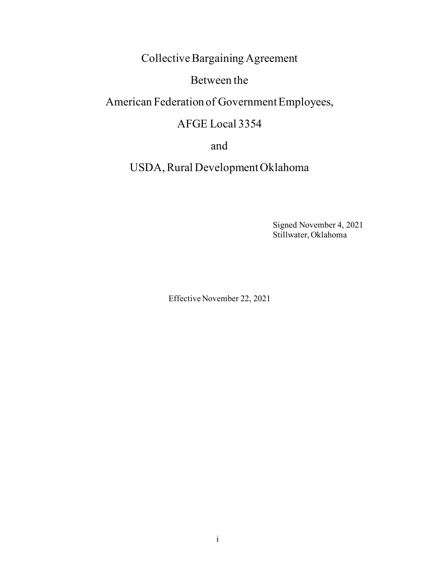Collective Bargaining Agreement

Between the

American Federation of Government Employees,

# AFGE Local 3354

and

USDA, Rural Development Oklahoma

 Stillwater, Oklahoma Signed November 4, 2021

Effective November 22, 2021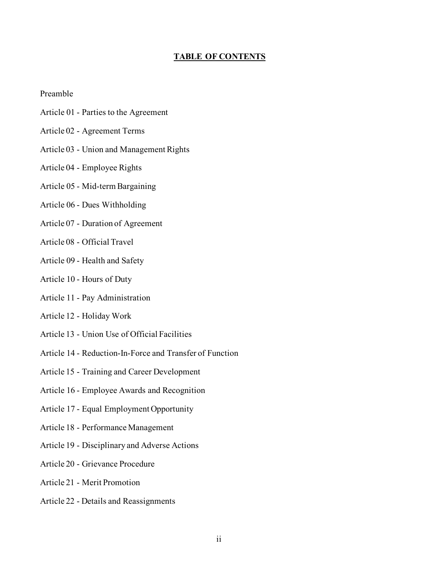#### **TABLE OF CONTENTS**

#### Preamble

- Article 01 Parties to the Agreement
- Article 02 Agreement Terms
- Article 03 Union and Management Rights
- Article 04 Employee Rights
- Article 05 Mid-term Bargaining
- 06 Dues Withholding
- Article 06 Dues Withholding<br>Article 07 Duration of Agreement
- Article 08 Official Travel
- Article 09 Health and Safety
- 10 Hours of Duty
- Article 10 Hours of Duty<br>Article 11 Pay Administration
- Article 12 Holiday Work
- Article 13 Union Use of Official Facilities
- Article 14 Reduction-In-Force and Transfer of Function
- Article 15 Training and Career Development
- Article 16 Employee Awards and Recognition
- Article 17 Equal Employment Opportunity
- Article 18 Performance Management
- Article 19 Disciplinary and Adverse Actions
- Article 20 Grievance Procedure
- Article 21 Merit Promotion
- Article 22 Details and Reassignments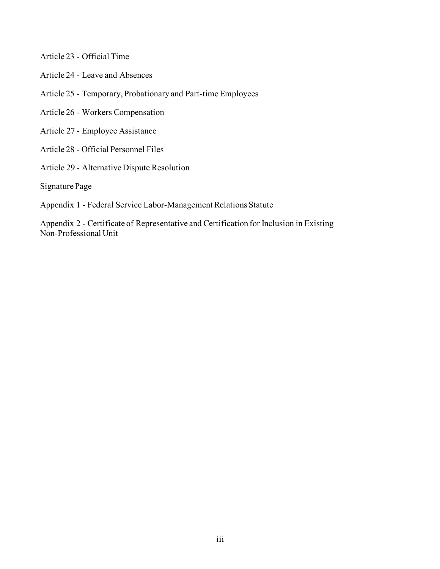Article 23 - Official Time

- Article 24 Leave and Absences
- Article 25 Temporary, Probationary and Part-time Employees
- Article 26 Workers Compensation
- Article 27 Employee Assistance
- Article 28 Official Personnel Files
- Article 29 Alternative Dispute Resolution

Signature Page

Appendix 1 - Federal Service Labor-Management Relations Statute

 Appendix 2 - Certificate of Representative and Certification for Inclusion in Existing [Non-Professional Unit](#page-53-0)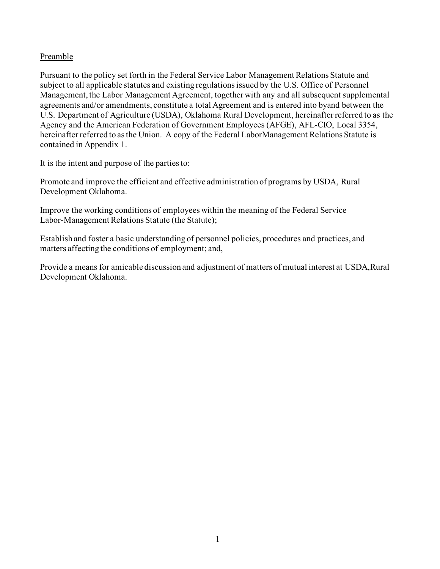#### Preamble

 subject to all applicable statutes and existing regulations issued by the U.S. Office of Personnel Management, the Labor Management Agreement, together with any and all subsequent supplemental agreements and/or amendments, constitute a total Agreement and is entered into byand between the U.S. Department of Agriculture (USDA), Oklahoma Rural Development, hereinafter referred to as the Agency and the American Federation of Government Employees (AFGE), AFL-CIO, Local 3354, hereinafter referred to as the Union. A copy of the Federal LaborManagement Relations Statute is contained in Appendix 1. Pursuant to the policy set forth in the Federal Service Labor Management Relations Statute and

It is the intent and purpose of the parties to:

 Promote and improve the efficient and effective administration of programs by USDA, Rural Development Oklahoma.

 Improve the working conditions of employees within the meaning of the Federal Service Labor-Management Relations Statute (the Statute);

 Establish and foster a basic understanding of personnel policies, procedures and practices, and matters affecting the conditions of employment; and,

 Provide a means for amicable discussion and adjustment of matters of mutual interest at USDA,Rural Development Oklahoma.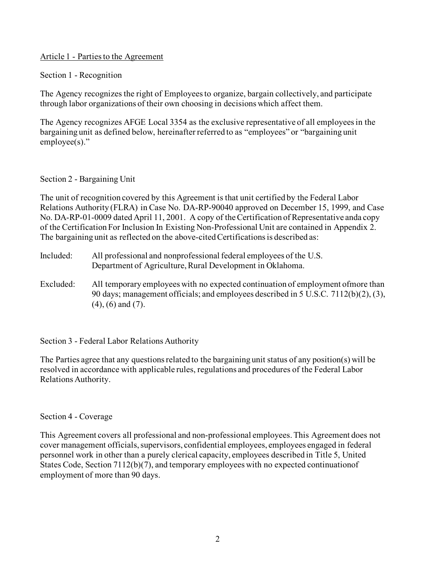#### Article 1 - Parties to the Agreement

#### Section 1 - Recognition

 The Agency recognizes the right of Employees to organize, bargain collectively, and participate through labor organizations of their own choosing in decisions which affect them.

 The Agency recognizes AFGE Local 3354 as the exclusive representative of all employees in the bargaining unit as defined below, hereinafter referred to as "employees" or "bargaining unit employee(s)."

#### Section 2 - Bargaining Unit

 The unit of recognition covered by this Agreement is that unit certified by the Federal Labor Relations Authority (FLRA) in Case No. DA-RP-90040 approved on December 15, 1999, and Case No. DA-RP-01-0009 dated April 11, 2001. A copy of the Certification of Representative anda copy of the Certification For Inclusion In Existing Non-Professional Unit are contained in Appendix 2. The bargaining unit as reflected on the above-cited Certifications is described as:

| Included: | All professional and nonprofessional federal employees of the U.S. |
|-----------|--------------------------------------------------------------------|
|           | Department of Agriculture, Rural Development in Oklahoma.          |

 Excluded: All temporary employees with no expected continuation of employment ofmore than 90 days; management officials; and employees described in 5 U.S.C. 7112(b)(2), (3), (4), (6) and (7).

#### Section 3 - Federal Labor Relations Authority

 The Parties agree that any questions related to the bargaining unit status of any position(s) will be Relations Authority. resolved in accordance with applicable rules, regulations and procedures of the Federal Labor

#### Section 4 - Coverage

 This Agreement covers all professional and non-professional employees. This Agreement does not States Code, Section 7112(b)(7), and temporary employees with no expected continuationof employment of more than 90 days. cover management officials, supervisors, confidential employees, employees engaged in federal personnel work in other than a purely clerical capacity, employees described in Title 5, United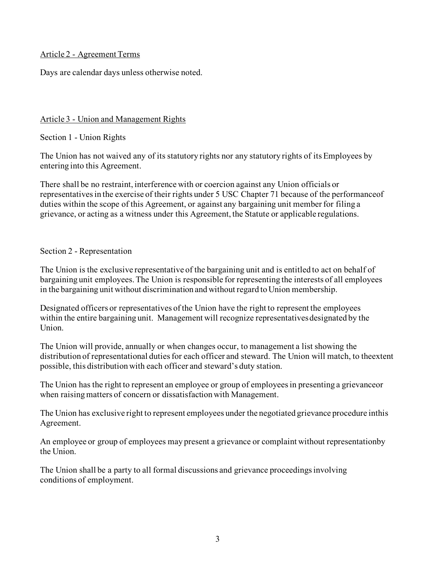#### Article 2 - Agreement Terms

Days are calendar days unless otherwise noted.

## Article 3 - Union and Management Rights

Section 1 - Union Rights

 The Union has not waived any of its statutory rights nor any statutory rights of its Employees by entering into this Agreement.

 There shall be no restraint, interference with or coercion against any Union officials or representatives in the exercise of their rights under 5 USC Chapter 71 because of the performanceof duties within the scope of this Agreement, or against any bargaining unit member for filing a grievance, or acting as a witness under this Agreement, the Statute or applicable regulations.

#### Section 2 - Representation

 The Union is the exclusive representative of the bargaining unit and is entitled to act on behalf of bargaining unit employees. The Union is responsible for representing the interests of all employees in the bargaining unit without discrimination and without regard to Union membership.

 Designated officers or representatives of the Union have the right to represent the employees within the entire bargaining unit. Management will recognize representatives designated by the Union.

 The Union will provide, annually or when changes occur, to management a list showing the distribution of representational duties for each officer and steward. The Union will match, to theextent possible, this distribution with each officer and steward's duty station.

 The Union has the right to represent an employee or group of employees in presenting a grievanceor when raising matters of concern or dissatisfaction with Management.

 The Union has exclusive right to represent employees under the negotiated grievance procedure inthis Agreement.

 An employee or group of employees may present a grievance or complaint without representationby the Union.

 The Union shall be a party to all formal discussions and grievance proceedings involving conditions of employment.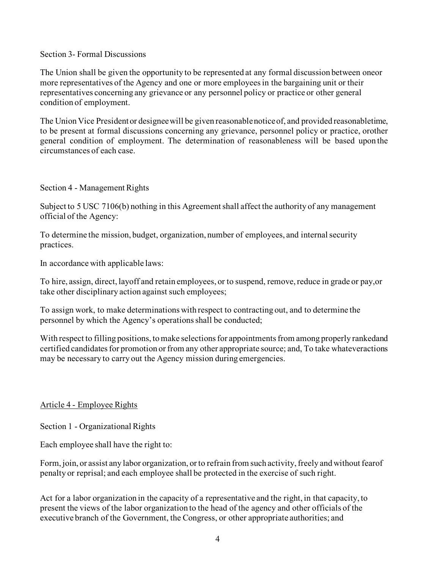#### Section 3- Formal Discussions

 The Union shall be given the opportunity to be represented at any formal discussion between oneor more representatives of the Agency and one or more employees in the bargaining unit or their representatives concerning any grievance or any personnel policy or practice or other general condition of employment.

 The Union Vice Presidentor designeewill be given reasonablenoticeof, and provided reasonabletime, to be present at formal discussions concerning any grievance, personnel policy or practice, orother general condition of employment. The determination of reasonableness will be based upon the circumstances of each case.

Section 4 - Management Rights

 Subject to 5 USC 7106(b) nothing in this Agreement shall affect the authority of any management official of the Agency:

 To determine the mission, budget, organization, number of employees, and internal security practices.

In accordance with applicable laws:

 To hire, assign, direct, layoff and retain employees, or to suspend, remove, reduce in grade or pay,or take other disciplinary action against such employees;

 personnel by which the Agency's operations shall be conducted; To assign work, to make determinations with respect to contracting out, and to determine the

 With respect to filling positions, to make selections for appointments from among properly rankedand certified candidates for promotion or from any other appropriate source; and, To take whateveractions may be necessary to carry out the Agency mission during emergencies.

Article 4 - Employee Rights

Article 4 - Employee Rights<br>Section 1 - Organizational Rights

Each employee shall have the right to:

 Form, join, or assist any labor organization, or to refrain from such activity, freely and without fearof penalty or reprisal; and each employee shall be protected in the exercise of such right.

 Act for a labor organization in the capacity of a representative and the right, in that capacity, to present the views of the labor organization to the head of the agency and other officials of the executive branch of the Government, the Congress, or other appropriate authorities; and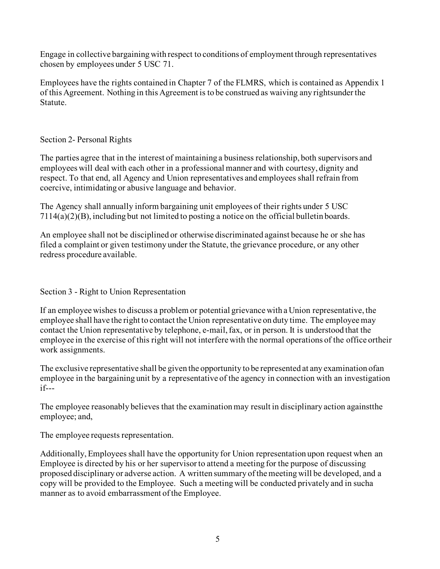Engage in collective bargaining with respect to conditions of employment through representatives chosen by employees under 5 USC 71.

 Employees have the rights contained in Chapter 7 of the FLMRS, which is contained as Appendix 1 of this Agreement. Nothing in this Agreement is to be construed as waiving any rightsunder the Statute.

## Section 2- Personal Rights

 The parties agree that in the interest of maintaining a business relationship, both supervisors and employees will deal with each other in a professional manner and with courtesy, dignity and respect. To that end, all Agency and Union representatives and employees shall refrain from coercive, intimidating or abusive language and behavior.

 The Agency shall annually inform bargaining unit employees of their rights under 5 USC 7114(a)(2)(B), including but not limited to posting a notice on the official bulletin boards.

 An employee shall not be disciplined or otherwise discriminated against because he or she has filed a complaint or given testimony under the Statute, the grievance procedure, or any other redress procedure available.

# Section 3 - Right to Union Representation

 If an employee wishes to discuss a problem or potential grievance with a Union representative, the employee shall have the right to contact the Union representative on duty time. The employee may contact the Union representative by telephone, e-mail, fax, or in person. It is understood that the employee in the exercise of this right will not interfere with the normal operations of the office ortheir work assignments.

 The exclusive representative shall be given the opportunity to be represented at any examination ofan employee in the bargaining unit by a representative of the agency in connection with an investigation if---

 The employee reasonably believes that the examination may result in disciplinary action againstthe employee; and,

The employee requests representation.

 Additionally, Employees shall have the opportunity for Union representation upon request when an Employee is directed by his or her supervisor to attend a meeting for the purpose of discussing proposed disciplinary or adverse action. A written summary of the meeting will be developed, and a copy will be provided to the Employee. Such a meeting will be conducted privately and in sucha manner as to avoid embarrassment of the Employee.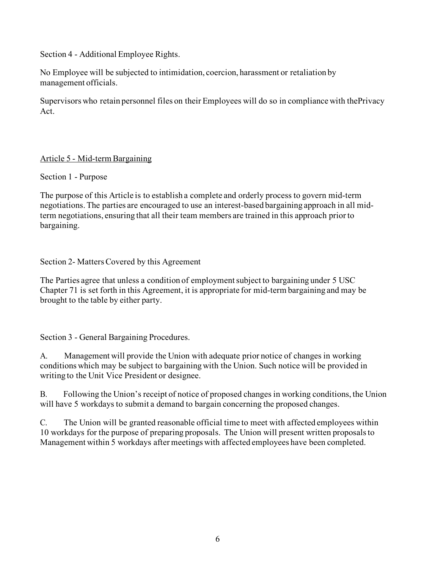Section 4 - Additional Employee Rights.

 No Employee will be subjected to intimidation, coercion, harassment or retaliation by management officials.

 Supervisors who retain personnel files on their Employees will do so in compliance with thePrivacy Act.

#### Article 5 - Mid-term Bargaining

Section 1 - Purpose

 The purpose of this Article is to establish a complete and orderly process to govern mid-term negotiations. The parties are encouraged to use an interest-based bargaining approach in all midterm negotiations, ensuring that all their team members are trained in this approach prior to bargaining.

Section 2- Matters Covered by this Agreement

 The Parties agree that unless a condition of employment subject to bargaining under 5 USC Chapter 71 is set forth in this Agreement, it is appropriate for mid-term bargaining and may be brought to the table by either party.

Section 3 - General Bargaining Procedures.

 A. Management will provide the Union with adequate prior notice of changes in working conditions which may be subject to bargaining with the Union. Such notice will be provided in writing to the Unit Vice President or designee.

 B. Following the Union's receipt of notice of proposed changes in working conditions, the Union will have 5 workdays to submit a demand to bargain concerning the proposed changes.

 C. The Union will be granted reasonable official time to meet with affected employees within 10 workdays for the purpose of preparing proposals. The Union will present written proposals to Management within 5 workdays after meetings with affected employees have been completed.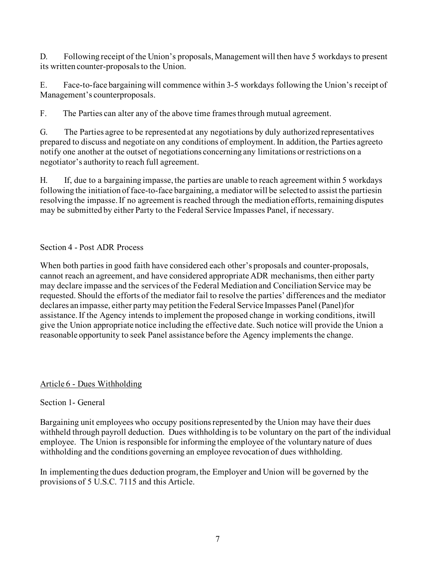D. Following receipt of the Union's proposals, Management will then have 5 workdays to present its written counter-proposals to the Union.

 E. Face-to-face bargaining will commence within 3-5 workdays following the Union's receipt of Management's counterproposals.

F. The Parties can alter any of the above time frames through mutual agreement.

 G. The Parties agree to be represented at any negotiations by duly authorized representatives prepared to discuss and negotiate on any conditions of employment. In addition, the Parties agreeto notify one another at the outset of negotiations concerning any limitations or restrictions on a negotiator's authority to reach full agreement.

 H. If, due to a bargaining impasse, the parties are unable to reach agreement within 5 workdays following the initiation of face-to-face bargaining, a mediator will be selected to assist the partiesin resolving the impasse. If no agreement is reached through the mediation efforts, remaining disputes may be submitted by either Party to the Federal Service Impasses Panel, if necessary.

Section 4 - Post ADR Process

 cannot reach an agreement, and have considered appropriate ADR mechanisms, then either party may declare impasse and the services of the Federal Mediation and Conciliation Service may be requested. Should the efforts of the mediator fail to resolve the parties' differences and the mediator declares an impasse, either party may petition the Federal Service Impasses Panel (Panel)for give the Union appropriate notice including the effective date. Such notice will provide the Union a reasonable opportunity to seek Panel assistance before the Agency implements the change. When both parties in good faith have considered each other's proposals and counter-proposals, assistance. If the Agency intends to implement the proposed change in working conditions, itwill

Article 6 - Dues Withholding

# Section 1- General

 withheld through payroll deduction. Dues withholding is to be voluntary on the part of the individual employee. The Union is responsible for informing the employee of the voluntary nature of dues withholding and the conditions governing an employee revocation of dues withholding. Bargaining unit employees who occupy positions represented by the Union may have their dues

 provisions of 5 U.S.C. 7115 and this Article. In implementing the dues deduction program, the Employer and Union will be governed by the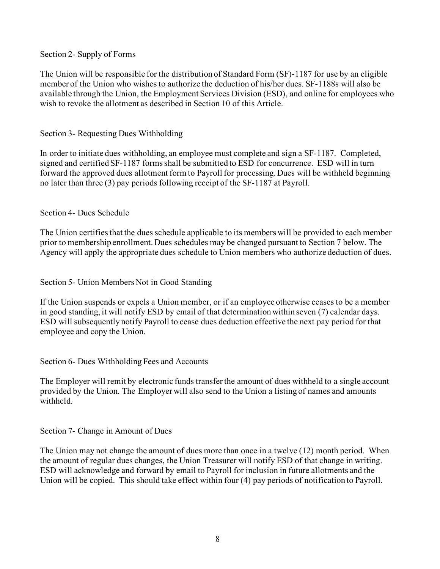#### Section 2- Supply of Forms

 The Union will be responsible for the distribution of Standard Form (SF)-1187 for use by an eligible member of the Union who wishes to authorize the deduction of his/her dues. SF-1188s will also be available through the Union, the Employment Services Division (ESD), and online for employees who wish to revoke the allotment as described in Section 10 of this Article.

#### Section 3- Requesting Dues Withholding

 In order to initiate dues withholding, an employee must complete and sign a SF-1187. Completed, signed and certified SF-1187 forms shall be submitted to ESD for concurrence. ESD will in turn forward the approved dues allotment form to Payroll for processing. Dues will be withheld beginning no later than three (3) pay periods following receipt of the SF-1187 at Payroll.

#### Section 4- Dues Schedule

 The Union certifies that the dues schedule applicable to its members will be provided to each member Agency will apply the appropriate dues schedule to Union members who authorize deduction of dues. prior to membership enrollment. Dues schedules may be changed pursuant to Section 7 below. The

Section 5- Union Members Not in Good Standing

 If the Union suspends or expels a Union member, or if an employee otherwise ceases to be a member in good standing, it will notify ESD by email of that determination within seven (7) calendar days. ESD will subsequently notify Payroll to cease dues deduction effective the next pay period for that employee and copy the Union.

#### Section 6- Dues Withholding Fees and Accounts

 The Employer will remit by electronic funds transfer the amount of dues withheld to a single account provided by the Union. The Employer will also send to the Union a listing of names and amounts withheld.

Section 7- Change in Amount of Dues

 The Union may not change the amount of dues more than once in a twelve (12) month period. When the amount of regular dues changes, the Union Treasurer will notify ESD of that change in writing. ESD will acknowledge and forward by email to Payroll for inclusion in future allotments and the Union will be copied. This should take effect within four (4) pay periods of notification to Payroll.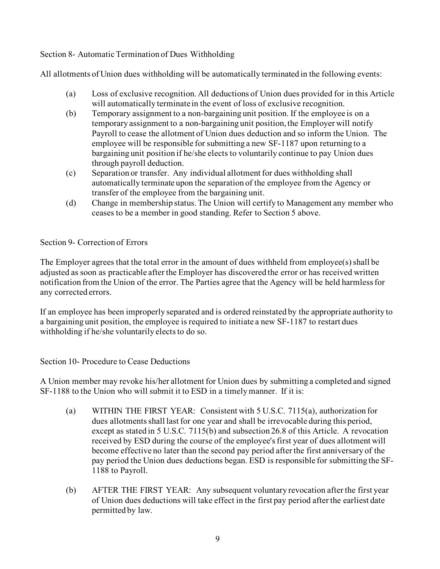### Section 8- Automatic Termination of Dues Withholding

All allotments of Union dues withholding will be automatically terminated in the following events:

- (a) Loss of exclusive recognition. All deductions of Union dues provided for in this Article will automatically terminate in the event of loss of exclusive recognition.
- (b) Temporary assignment to a non-bargaining unit position. If the employee is on a temporary assignment to a non-bargaining unit position, the Employer will notify Payroll to cease the allotment of Union dues deduction and so inform the Union. The employee will be responsible for submitting a new SF-1187 upon returning to a bargaining unit position if he/she elects to voluntarily continue to pay Union dues through payroll deduction.
- (c) Separation or transfer. Any individual allotment for dues withholding shall automatically terminate upon the separation of the employee from the Agency or transfer of the employee from the bargaining unit.
- (d) Change in membership status. The Union will certify to Management any member who ceases to be a member in good standing. Refer to Section 5 above.

#### Section 9- Correction of Errors

 The Employer agrees that the total error in the amount of dues withheld from employee(s) shall be adjusted as soon as practicable after the Employer has discovered the error or has received written notification from the Union of the error. The Parties agree that the Agency will be held harmless for any corrected errors.

 a bargaining unit position, the employee is required to initiate a new SF-1187 to restart dues If an employee has been improperly separated and is ordered reinstated by the appropriate authority to withholding if he/she voluntarily elects to do so.

#### Section 10- Procedure to Cease Deductions

 A Union member may revoke his/her allotment for Union dues by submitting a completed and signed SF-1188 to the Union who will submit it to ESD in a timely manner. If it is:

- (a) WITHIN THE FIRST YEAR: Consistent with 5 U.S.C. 7115(a), authorization for dues allotments shall last for one year and shall be irrevocable during this period, except as stated in 5 U.S.C. 7115(b) and subsection 26.8 of this Article. A revocation received by ESD during the course of the employee's first year of dues allotment will become effective no later than the second pay period after the first anniversary of the pay period the Union dues deductions began. ESD is responsible for submitting the SF-1188 to Payroll.
- (b) AFTER THE FIRST YEAR: Any subsequent voluntary revocation after the first year of Union dues deductions will take effect in the first pay period after the earliest date permitted by law.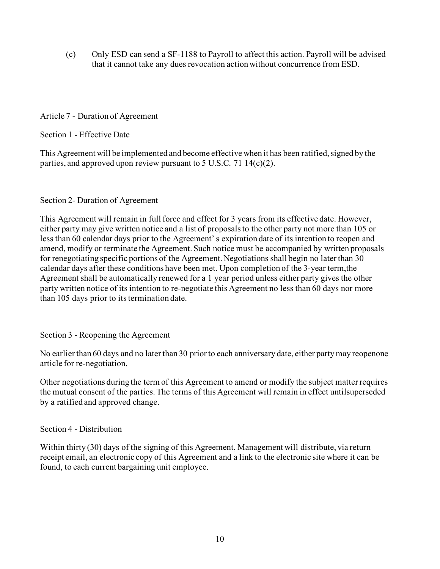(c) Only ESD can send a SF-1188 to Payroll to affect this action. Payroll will be advised that it cannot take any dues revocation action without concurrence from ESD.

#### Article 7 - Duration of Agreement

#### Section 1 - Effective Date

 This Agreement will be implemented and become effective when it has been ratified, signed by the parties, and approved upon review pursuant to 5 U.S.C. 71 14(c)(2).

#### Section 2- Duration of Agreement

 This Agreement will remain in full force and effect for 3 years from its effective date. However, either party may give written notice and a list of proposals to the other party not more than 105 or less than 60 calendar days prior to the Agreement' s expiration date of its intention to reopen and amend, modify or terminate the Agreement. Such notice must be accompanied by written proposals for renegotiating specific portions of the Agreement. Negotiations shall begin no later than 30 calendar days after these conditions have been met. Upon completion of the 3-year term,the Agreement shall be automatically renewed for a 1 year period unless either party gives the other party written notice of its intention to re-negotiate this Agreement no less than 60 days nor more than 105 days prior to its termination date.

#### Section 3 - Reopening the Agreement

 No earlier than 60 days and no later than 30 prior to each anniversary date, either party may reopenone article for re-negotiation.

 Other negotiations during the term of this Agreement to amend or modify the subject matter requires the mutual consent of the parties. The terms of this Agreement will remain in effect untilsuperseded by a ratified and approved change.

#### Section 4 - Distribution

 Within thirty (30) days of the signing of this Agreement, Management will distribute, via return receipt email, an electronic copy of this Agreement and a link to the electronic site where it can be found, to each current bargaining unit employee.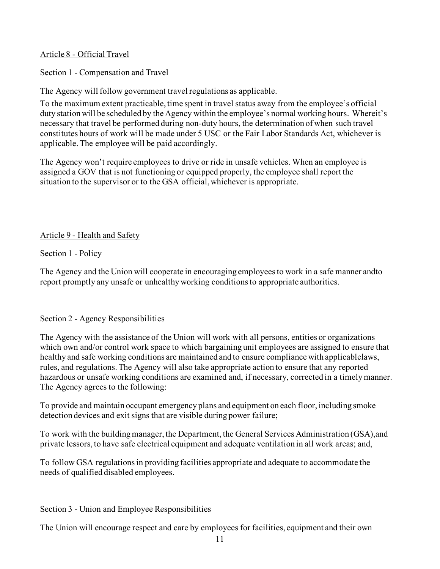#### Article 8 - Official Travel

Section 1 - Compensation and Travel

The Agency will follow government travel regulations as applicable.

 To the maximum extent practicable, time spent in travel status away from the employee's official duty station will be scheduled by the Agency within the employee's normal working hours. Whereit's necessary that travel be performed during non-duty hours, the determination of when such travel constitutes hours of work will be made under 5 USC or the Fair Labor Standards Act, whichever is applicable. The employee will be paid accordingly.

 The Agency won't require employees to drive or ride in unsafe vehicles. When an employee is assigned a GOV that is not functioning or equipped properly, the employee shall report the situation to the supervisor or to the GSA official, whichever is appropriate.

## Article 9 - Health and Safety

Section 1 - Policy

 The Agency and the Union will cooperate in encouraging employees to work in a safe manner andto report promptly any unsafe or unhealthy working conditions to appropriate authorities.

#### Section 2 - Agency Responsibilities

 The Agency with the assistance of the Union will work with all persons, entities or organizations which own and/or control work space to which bargaining unit employees are assigned to ensure that healthy and safe working conditions are maintained and to ensure compliance with applicablelaws, hazardous or unsafe working conditions are examined and, if necessary, corrected in a timely manner. The Agency agrees to the following: rules, and regulations. The Agency will also take appropriate action to ensure that any reported

 To provide and maintain occupant emergency plans and equipment on each floor, including smoke detection devices and exit signs that are visible during power failure;

 To work with the building manager, the Department, the General Services Administration (GSA),and private lessors, to have safe electrical equipment and adequate ventilation in all work areas; and,

 To follow GSA regulations in providing facilities appropriate and adequate to accommodate the needs of qualified disabled employees.

## Section 3 - Union and Employee Responsibilities

The Union will encourage respect and care by employees for facilities, equipment and their own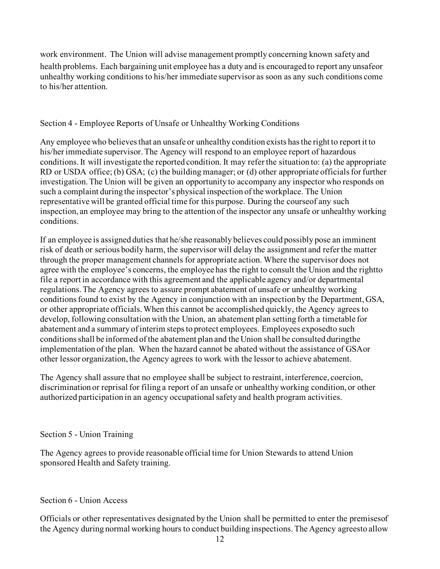work environment. The Union will advise management promptly concerning known safety and health problems. Each bargaining unit employee has a duty and is encouraged to report any unsafeor unhealthy working conditions to his/her immediate supervisor as soon as any such conditions come to his/her attention.

## Section 4 - Employee Reports of Unsafe or Unhealthy Working Conditions

 Any employee who believes that an unsafe or unhealthy condition exists has the right to report it to his/her immediate supervisor. The Agency will respond to an employee report of hazardous conditions. It will investigate the reported condition. It may refer the situation to: (a) the appropriate RD or USDA office; (b) GSA; (c) the building manager; or (d) other appropriate officials for further investigation. The Union will be given an opportunity to accompany any inspector who responds on such a complaint during the inspector's physical inspection of the workplace. The Union representative will be granted official time for this purpose. During the courseof any such inspection, an employee may bring to the attention of the inspector any unsafe or unhealthy working conditions.

 If an employee is assigned duties that he/she reasonably believes could possibly pose an imminent risk of death or serious bodily harm, the supervisor will delay the assignment and refer the matter through the proper management channels for appropriate action. Where the supervisor does not agree with the employee's concerns, the employee has the right to consult the Union and the rightto file a report in accordance with this agreement and the applicable agency and/or departmental or other appropriate officials. When this cannot be accomplished quickly, the Agency agrees to develop, following consultation with the Union, an abatement plan setting forth a timetable for abatement and a summary of interim steps to protect employees. Employees exposedto such conditions shall be informed of the abatement plan and the Union shall be consulted duringthe implementation of the plan. When the hazard cannot be abated without the assistance of GSAor other lessor organization, the Agency agrees to work with the lessor to achieve abatement. regulations. The Agency agrees to assure prompt abatement of unsafe or unhealthy working conditions found to exist by the Agency in conjunction with an inspection by the Department, GSA,

 The Agency shall assure that no employee shall be subject to restraint, interference, coercion, discrimination or reprisal for filing a report of an unsafe or unhealthy working condition, or other authorized participation in an agency occupational safety and health program activities.

### Section 5 - Union Training

 The Agency agrees to provide reasonable official time for Union Stewards to attend Union sponsored Health and Safety training.

#### Section 6 - Union Access

 Officials or other representatives designated by the Union shall be permitted to enter the premisesof the Agency during normal working hours to conduct building inspections. The Agency agreesto allow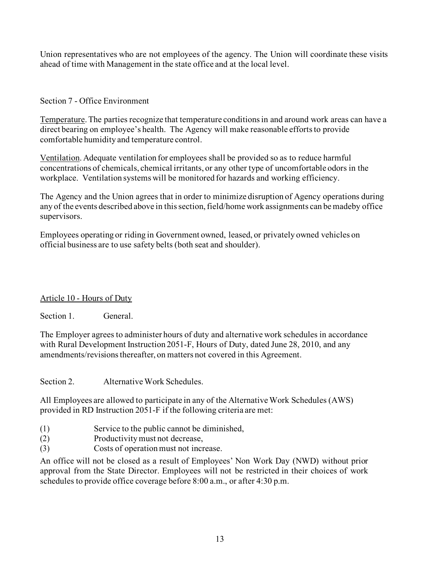Union representatives who are not employees of the agency. The Union will coordinate these visits ahead of time with Management in the state office and at the local level.

#### Section 7 - Office Environment

 Temperature. The parties recognize that temperature conditions in and around work areas can have a direct bearing on employee's health. The Agency will make reasonable efforts to provide comfortable humidity and temperature control.

 concentrations of chemicals, chemical irritants, or any other type of uncomfortable odors in the workplace. Ventilation systems will be monitored for hazards and working efficiency. Ventilation. Adequate ventilation for employees shall be provided so as to reduce harmful

 The Agency and the Union agrees that in order to minimize disruption of Agency operations during any of the events described above in this section, field/home work assignments can be madeby office supervisors.

 Employees operating or riding in Government owned, leased, or privately owned vehicles on official business are to use safety belts (both seat and shoulder).

#### Article 10 - Hours of Duty

Section 1. General.

 The Employer agrees to administer hours of duty and alternative work schedules in accordance amendments/revisions thereafter, on matters not covered in this Agreement. with Rural Development Instruction 2051-F, Hours of Duty, dated June 28, 2010, and any

Section 2. Alternative Work Schedules.

 All Employees are allowed to participate in any of the Alternative Work Schedules (AWS) provided in RD Instruction 2051-F if the following criteria are met:

- (1) Service to the public cannot be diminished,
- (2) Productivity must not decrease,
- (3) Costs of operation must not increase.

 An office will not be closed as a result of Employees' Non Work Day (NWD) without prior approval from the State Director. Employees will not be restricted in their choices of work schedules to provide office coverage before 8:00 a.m., or after 4:30 p.m.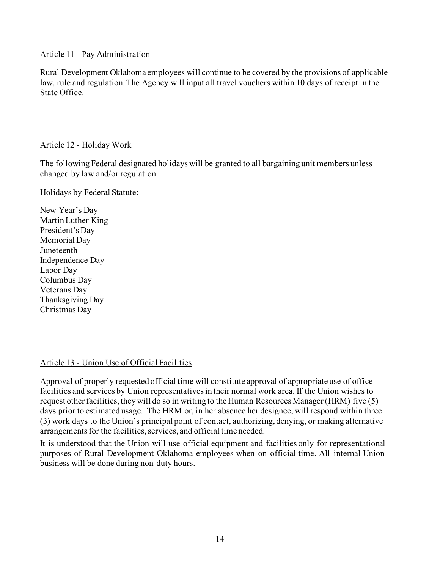#### Article 11 - Pay Administration

 Rural Development Oklahoma employees will continue to be covered by the provisions of applicable law, rule and regulation. The Agency will input all travel vouchers within 10 days of receipt in the State Office.

### Article 12 - Holiday Work

 The following Federal designated holidays will be granted to all bargaining unit members unless changed by law and/or regulation.

Holidays by Federal Statute:

 New Year's Day Independence Day Veterans Day Christmas Day Martin Luther King President's Day Memorial Day Juneteenth Labor Day Columbus Day Thanksgiving Day

## Article 13 - Union Use of Official Facilities

 Approval of properly requested official time will constitute approval of appropriate use of office facilities and services by Union representatives in their normal work area. If the Union wishes to request other facilities, they will do so in writing to the Human Resources Manager (HRM) five (5) days prior to estimated usage. The HRM or, in her absence her designee, will respond within three (3) work days to the Union's principal point of contact, authorizing, denying, or making alternative arrangements for the facilities, services, and official time needed.

 It is understood that the Union will use official equipment and facilities only for representational business will be done during non-duty hours. purposes of Rural Development Oklahoma employees when on official time. All internal Union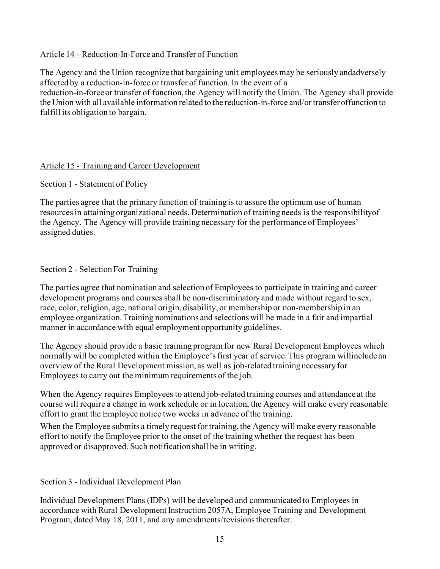### Article 14 - Reduction-In-Force and Transfer of Function

 The Agency and the Union recognize that bargaining unit employees may be seriously andadversely affected by a reduction-in-force or transfer of function. In the event of a reduction-in-force or transfer of function, the Agency will notify the Union. The Agency shall provide the Union with all available information related to the reduction-in-force and/or transferoffunction to fulfill its obligation to bargain.

## Article 15 - Training and Career Development

Section 1 - Statement of Policy

 The parties agree that the primary function of training is to assure the optimum use of human resources in attaining organizational needs. Determination of training needs is the responsibilityof assigned duties. the Agency. The Agency will provide training necessary for the performance of Employees'

## Section 2 - Selection For Training

 The parties agree that nomination and selection of Employees to participate in training and career development programs and courses shall be non-discriminatory and made without regard to sex, employee organization. Training nominations and selections will be made in a fair and impartial manner in accordance with equal employment opportunity guidelines. race, color, religion, age, national origin, disability, or membership or non-membership in an

 The Agency should provide a basic training program for new Rural Development Employees which normally will be completed within the Employee's first year of service. This program willinclude an overview of the Rural Development mission, as well as job-related training necessary for Employees to carry out the minimum requirements of the job.

 course will require a change in work schedule or in location, the Agency will make every reasonable effort to grant the Employee notice two weeks in advance of the training. When the Agency requires Employees to attend job-related training courses and attendance at the

 When the Employee submits a timely request for training, the Agency will make every reasonable approved or disapproved. Such notification shall be in writing. effort to notify the Employee prior to the onset of the training whether the request has been

## Section 3 - Individual Development Plan

 Individual Development Plans (IDPs) will be developed and communicated to Employees in Program, dated May 18, 2011, and any amendments/revisions thereafter. accordance with Rural Development Instruction 2057A, Employee Training and Development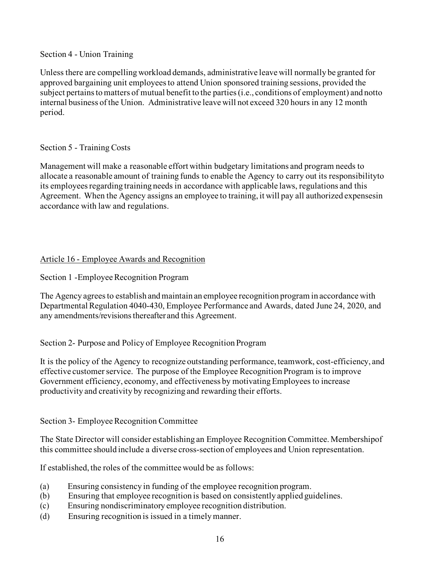#### Section 4 - Union Training

 Unless there are compelling workload demands, administrative leave will normally be granted for subject pertains to matters of mutual benefit to the parties (i.e., conditions of employment) and notto internal business of the Union. Administrative leave will not exceed 320 hours in any 12 month approved bargaining unit employees to attend Union sponsored training sessions, provided the period.

#### Section 5 - Training Costs

 Management will make a reasonable effort within budgetary limitations and program needs to allocate a reasonable amount of training funds to enable the Agency to carry out its responsibilityto its employees regarding training needs in accordance with applicable laws, regulations and this Agreement. When the Agency assigns an employee to training, it will pay all authorized expensesin accordance with law and regulations.

# Article 16 - Employee Awards and Recognition

Section 1 -Employee Recognition Program

 The Agency agrees to establish and maintain an employee recognition program in accordance with Departmental Regulation 4040-430, Employee Performance and Awards, dated June 24, 2020, and any amendments/revisions thereafter and this Agreement.

#### Section 2- Purpose and Policy of Employee Recognition Program

 It is the policy of the Agency to recognize outstanding performance, teamwork, cost-efficiency, and effective customer service. The purpose of the Employee Recognition Program is to improve productivity and creativity by recognizing and rewarding their efforts. Government efficiency, economy, and effectiveness by motivating Employees to increase

## Section 3- Employee Recognition Committee

 The State Director will consider establishing an Employee Recognition Committee. Membershipof this committee should include a diverse cross-section of employees and Union representation.

If established, the roles of the committee would be as follows:

- (a) Ensuring consistency in funding of the employee recognition program.
- (b) Ensuring that employee recognition is based on consistently applied guidelines.
- (c) Ensuring nondiscriminatory employee recognition distribution.
- (d) Ensuring recognition is issued in a timely manner.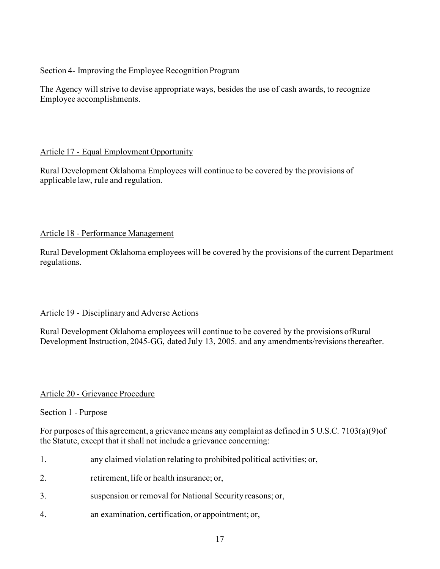Section 4- Improving the Employee Recognition Program

 The Agency will strive to devise appropriate ways, besides the use of cash awards, to recognize Employee accomplishments.

## Article 17 - Equal Employment Opportunity

 applicable law, rule and regulation. Rural Development Oklahoma Employees will continue to be covered by the provisions of

## Article 18 - Performance Management

 Rural Development Oklahoma employees will be covered by the provisions of the current Department regulations.

## Article 19 - Disciplinary and Adverse Actions

 Rural Development Oklahoma employees will continue to be covered by the provisions ofRural Development Instruction, 2045-GG, dated July 13, 2005. and any amendments/revisions thereafter.

#### Article 20 - Grievance Procedure

Section 1 - Purpose

 For purposes of this agreement, a grievance means any complaint as defined in 5 U.S.C. 7103(a)(9)of the Statute, except that it shall not include a grievance concerning:

- 1. any claimed violation relating to prohibited political activities; or,
- 2. retirement, life or health insurance; or,
- 3. suspension or removal for National Security reasons; or,
- 4. an examination, certification, or appointment; or,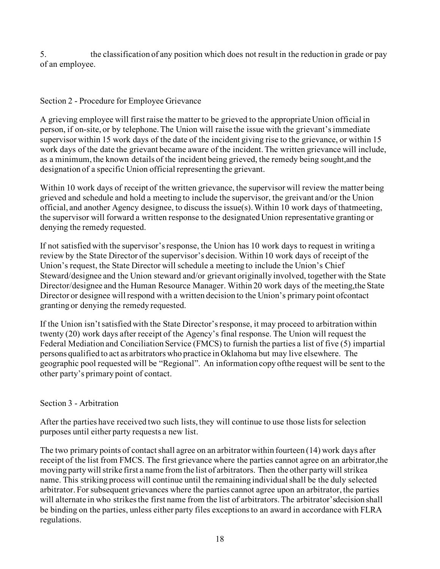5. the classification of any position which does not result in the reduction in grade or pay of an employee.

#### Section 2 - Procedure for Employee Grievance

 A grieving employee will first raise the matter to be grieved to the appropriate Union official in person, if on-site, or by telephone. The Union will raise the issue with the grievant's immediate supervisor within 15 work days of the date of the incident giving rise to the grievance, or within 15 work days of the date the grievant became aware of the incident. The written grievance will include, as a minimum, the known details of the incident being grieved, the remedy being sought,and the designation of a specific Union official representing the grievant.

 Within 10 work days of receipt of the written grievance, the supervisor will review the matter being grieved and schedule and hold a meeting to include the supervisor, the greivant and/or the Union the supervisor will forward a written response to the designated Union representative granting or denying the remedy requested. official, and another Agency designee, to discuss the issue(s). Within 10 work days of thatmeeting,

 If not satisfied with the supervisor's response, the Union has 10 work days to request in writing a review by the State Director of the supervisor's decision. Within 10 work days of receipt of the Director/designee and the Human Resource Manager. Within 20 work days of the meeting,the State Director or designee will respond with a written decision to the Union's primary point ofcontact granting or denying the remedy requested. Union's request, the State Director will schedule a meeting to include the Union's Chief Steward/designee and the Union steward and/or grievant originally involved, together with the State

 If the Union isn't satisfied with the State Director's response, it may proceed to arbitration within twenty (20) work days after receipt of the Agency's final response. The Union will request the Federal Mediation and Conciliation Service (FMCS) to furnish the parties a list of five (5) impartial persons qualified to act as arbitrators who practice in Oklahoma but may live elsewhere. The geographic pool requested will be "Regional". An information copy ofthe request will be sent to the other party's primary point of contact.

#### Section 3 - Arbitration

 After the parties have received two such lists, they will continue to use those lists for selection purposes until either party requests a new list.

 The two primary points of contact shall agree on an arbitrator within fourteen (14) work days after receipt of the list from FMCS. The first grievance where the parties cannot agree on an arbitrator,the moving party will strike first a name from the list of arbitrators. Then the other party will strikea name. This striking process will continue until the remaining individual shall be the duly selected arbitrator. For subsequent grievances where the parties cannot agree upon an arbitrator, the parties will alternate in who strikes the first name from the list of arbitrators. The arbitrator'sdecision shall be binding on the parties, unless either party files exceptions to an award in accordance with FLRA regulations.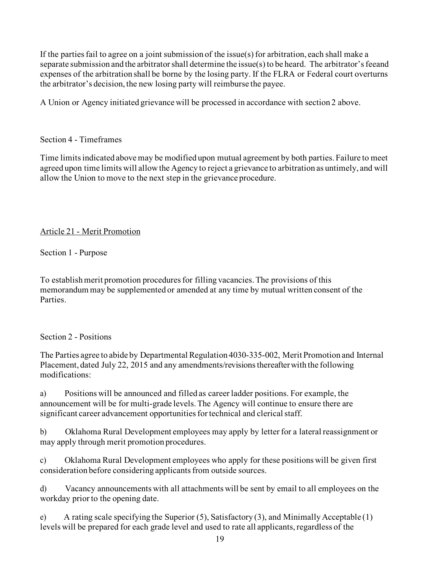If the parties fail to agree on a joint submission of the issue(s) for arbitration, each shall make a separate submission and the arbitrator shall determine the issue(s) to be heard. The arbitrator's feeand expenses of the arbitration shall be borne by the losing party. If the FLRA or Federal court overturns the arbitrator's decision, the new losing party will reimburse the payee.

A Union or Agency initiated grievance will be processed in accordance with section 2 above.

## Section 4 - Timeframes

 Time limits indicated above may be modified upon mutual agreement by both parties. Failure to meet agreed upon time limits will allow the Agency to reject a grievance to arbitration as untimely, and will allow the Union to move to the next step in the grievance procedure.

# Article 21 - Merit Promotion

Section 1 - Purpose

 memorandum may be supplemented or amended at any time by mutual written consent of the To establish merit promotion procedures for filling vacancies. The provisions of this Parties.

## Section 2 - Positions

 The Parties agree to abide by Departmental Regulation 4030-335-002, Merit Promotion and Internal Placement, dated July 22, 2015 and any amendments/revisions thereafterwith the following modifications:

 a) Positions will be announced and filled as career ladder positions. For example, the significant career advancement opportunities for technical and clerical staff. announcement will be for multi-grade levels. The Agency will continue to ensure there are

 b) Oklahoma Rural Development employees may apply by letter for a lateral reassignment or may apply through merit promotion procedures.

 c) Oklahoma Rural Development employees who apply for these positions will be given first consideration before considering applicants from outside sources.

 d) Vacancy announcements with all attachments will be sent by email to all employees on the workday prior to the opening date.

 levels will be prepared for each grade level and used to rate all applicants, regardless of the e) A rating scale specifying the Superior (5), Satisfactory (3), and Minimally Acceptable (1)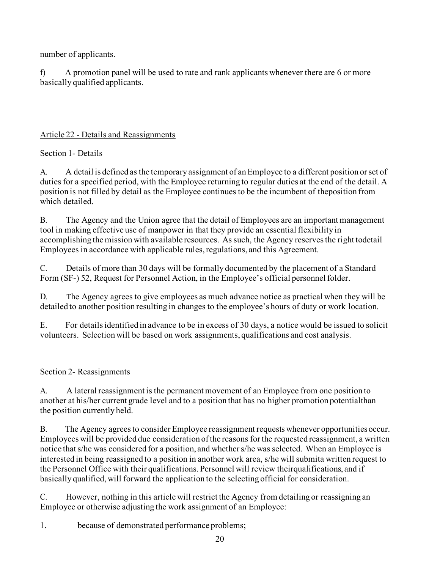number of applicants.

f) A promotion panel will be used to rate and rank applicants whenever there are 6 or more basically qualified applicants.

# Article 22 - Details and Reassignments

## Section 1- Details

 A. A detail is defined as the temporary assignment of an Employee to a different position or set of duties for a specified period, with the Employee returning to regular duties at the end of the detail. A position is not filled by detail as the Employee continues to be the incumbent of theposition from which detailed.

 tool in making effective use of manpower in that they provide an essential flexibility in accomplishing the mission with available resources. As such, the Agency reserves the right todetail Employees in accordance with applicable rules, regulations, and this Agreement. B. The Agency and the Union agree that the detail of Employees are an important management

 C. Details of more than 30 days will be formally documented by the placement of a Standard Form (SF-) 52, Request for Personnel Action, in the Employee's official personnel folder.

 D. The Agency agrees to give employees as much advance notice as practical when they will be detailed to another position resulting in changes to the employee's hours of duty or work location.

 E. For details identified in advance to be in excess of 30 days, a notice would be issued to solicit volunteers. Selection will be based on work assignments, qualifications and cost analysis.

## Section 2- Reassignments

 A. A lateral reassignment is the permanent movement of an Employee from one position to another at his/her current grade level and to a position that has no higher promotion potentialthan the position currently held.

B. The Agency agrees to consider Employee reassignment requests whenever opportunities occur. Employees will be provided due consideration of the reasons for the requested reassignment, a written notice that s/he was considered for a position, and whether s/he was selected. When an Employee is interested in being reassigned to a position in another work area, s/he will submita written request to the Personnel Office with their qualifications. Personnel will review theirqualifications, and if basically qualified, will forward the application to the selecting official for consideration.

 C. However, nothing in this article will restrict the Agency from detailing or reassigning an Employee or otherwise adjusting the work assignment of an Employee:

1. because of demonstrated performance problems;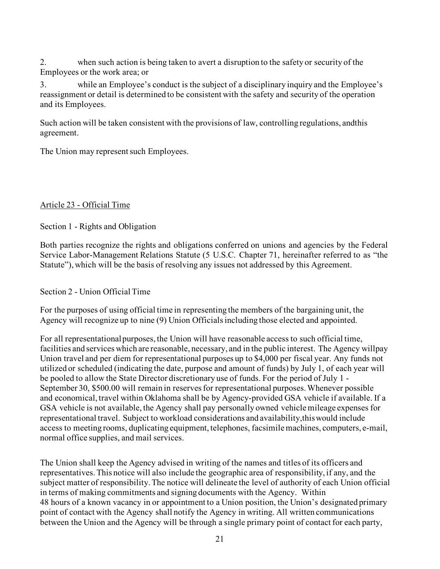2. when such action is being taken to avert a disruption to the safety or security of the Employees or the work area; or

 3. while an Employee's conduct is the subject of a disciplinary inquiry and the Employee's reassignment or detail is determined to be consistent with the safety and security of the operation and its Employees.

 Such action will be taken consistent with the provisions of law, controlling regulations, andthis agreement.

The Union may represent such Employees.

## Article 23 - Official Time

Section 1 - Rights and Obligation

 Service Labor-Management Relations Statute (5 U.S.C. Chapter 71, hereinafter referred to as "the Statute"), which will be the basis of resolving any issues not addressed by this Agreement. Both parties recognize the rights and obligations conferred on unions and agencies by the Federal

Section 2 - Union Official Time

 For the purposes of using official time in representing the members of the bargaining unit, the Agency will recognize up to nine (9) Union Officials including those elected and appointed.

 For all representationalpurposes, the Union will have reasonable access to such official time, facilities and services which are reasonable, necessary, and in the public interest. The Agency willpay Union travel and per diem for representational purposes up to \$4,000 per fiscal year. Any funds not utilized or scheduled (indicating the date, purpose and amount of funds) by July 1, of each year will be pooled to allow the State Director discretionary use of funds. For the period of July 1 - September 30, \$500.00 will remain in reserves for representational purposes. Whenever possible and economical, travel within Oklahoma shall be by Agency-provided GSA vehicle if available. If a GSA vehicle is not available, the Agency shall pay personally owned vehicle mileage expenses for representational travel. Subject to workload considerations and availability,this would include access to meeting rooms, duplicating equipment, telephones, facsimile machines, computers, e-mail, normal office supplies, and mail services.

 The Union shall keep the Agency advised in writing of the names and titles of its officers and representatives. This notice will also include the geographic area of responsibility, if any, and the subject matter of responsibility. The notice will delineate the level of authority of each Union official in terms of making commitments and signing documents with the Agency. Within 48 hours of a known vacancy in or appointment to a Union position, the Union's designated primary point of contact with the Agency shall notify the Agency in writing. All written communications between the Union and the Agency will be through a single primary point of contact for each party,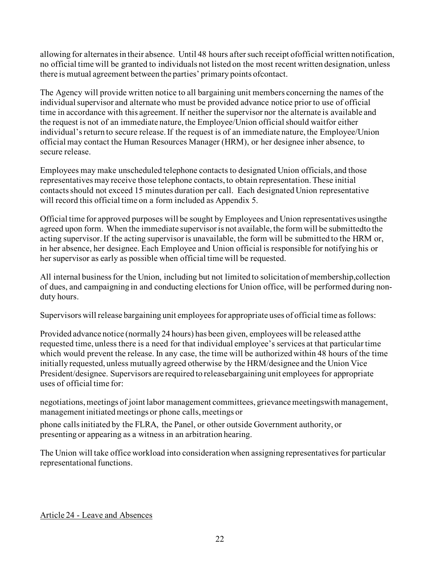allowing for alternates in their absence. Until 48 hours after such receipt ofofficial written notification, no official time will be granted to individuals not listed on the most recent written designation, unless there is mutual agreement between the parties' primary points ofcontact.

 The Agency will provide written notice to all bargaining unit members concerning the names of the individual supervisor and alternate who must be provided advance notice prior to use of official time in accordance with this agreement. If neither the supervisor nor the alternate is available and official may contact the Human Resources Manager (HRM), or her designee inher absence, to secure release. the request is not of an immediate nature, the Employee/Union official should waitfor either individual's return to secure release. If the request is of an immediate nature, the Employee/Union

 representatives may receive those telephone contacts, to obtain representation. These initial contacts should not exceed 15 minutes duration per call. Each designated Union representative will record this official time on a form included as Appendix 5. Employees may make unscheduled telephone contacts to designated Union officials, and those

 Official time for approved purposes will be sought by Employees and Union representatives usingthe agreed upon form. When the immediate supervisor is not available, the form will be submittedto the in her absence, her designee. Each Employee and Union official is responsible for notifying his or her supervisor as early as possible when official time will be requested. acting supervisor. If the acting supervisor is unavailable, the form will be submitted to the HRM or,

 All internal business for the Union, including but not limited to solicitation of membership,collection duty hours. of dues, and campaigning in and conducting elections for Union office, will be performed during non-

Supervisors will release bargaining unit employees for appropriate uses of official time as follows:

 Provided advance notice (normally 24 hours) has been given, employees will be released atthe which would prevent the release. In any case, the time will be authorized within 48 hours of the time initially requested, unless mutually agreed otherwise by the HRM/designee and the Union Vice President/designee. Supervisors are required to releasebargaining unit employees for appropriate uses of official time for: requested time, unless there is a need for that individual employee's services at that particular time

 negotiations, meetings of joint labor management committees, grievance meetingswith management, management initiated meetings or phone calls, meetings or

 phone calls initiated by the FLRA, the Panel, or other outside Government authority, or presenting or appearing as a witness in an arbitration hearing.

 The Union will take office workload into consideration when assigning representatives for particular representational functions.

#### Article 24 - Leave and Absences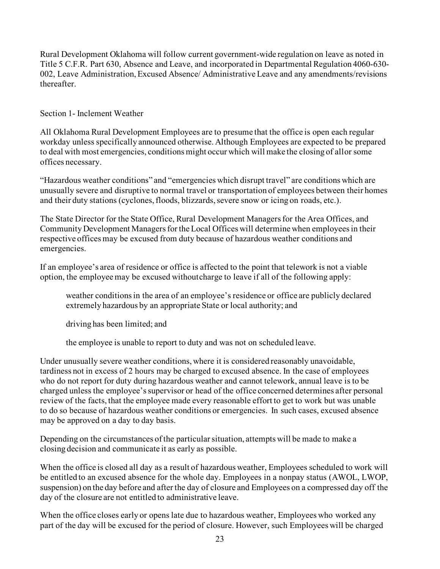Rural Development Oklahoma will follow current government-wide regulation on leave as noted in Title 5 C.F.R. Part 630, Absence and Leave, and incorporated in Departmental Regulation 4060-630- 002, Leave Administration, Excused Absence/ Administrative Leave and any amendments/revisions thereafter.

Section 1- Inclement Weather

 All Oklahoma Rural Development Employees are to presume that the office is open each regular workday unless specifically announced otherwise. Although Employees are expected to be prepared to deal with most emergencies, conditions might occur which will make the closing of allor some offices necessary.

 "Hazardous weather conditions" and "emergencies which disrupt travel" are conditions which are unusually severe and disruptive to normal travel or transportation of employees between their homes and their duty stations (cyclones, floods, blizzards, severe snow or icing on roads, etc.).

 The State Director for the State Office, Rural Development Managers for the Area Offices, and Community Development Managers for the Local Offices will determine when employees in their respective offices may be excused from duty because of hazardous weather conditions and emergencies.

 If an employee's area of residence or office is affected to the point that telework is not a viable option, the employee may be excused withoutcharge to leave if all of the following apply:

 weather conditions in the area of an employee's residence or office are publicly declared extremely hazardous by an appropriate State or local authority; and

driving has been limited; and

the employee is unable to report to duty and was not on scheduled leave.

 Under unusually severe weather conditions, where it is considered reasonably unavoidable, tardiness not in excess of 2 hours may be charged to excused absence. In the case of employees who do not report for duty during hazardous weather and cannot telework, annual leave is to be charged unless the employee's supervisor or head of the office concerned determines after personal review of the facts, that the employee made every reasonable effort to get to work but was unable to do so because of hazardous weather conditions or emergencies. In such cases, excused absence may be approved on a day to day basis.

 Depending on the circumstances of the particular situation, attempts will be made to make a closing decision and communicate it as early as possible.

 When the office is closed all day as a result of hazardous weather, Employees scheduled to work will be entitled to an excused absence for the whole day. Employees in a nonpay status (AWOL, LWOP, suspension) on the day before and after the day of closure and Employees on a compressed day off the day of the closure are not entitled to administrative leave.

 When the office closes early or opens late due to hazardous weather, Employees who worked any part of the day will be excused for the period of closure. However, such Employees will be charged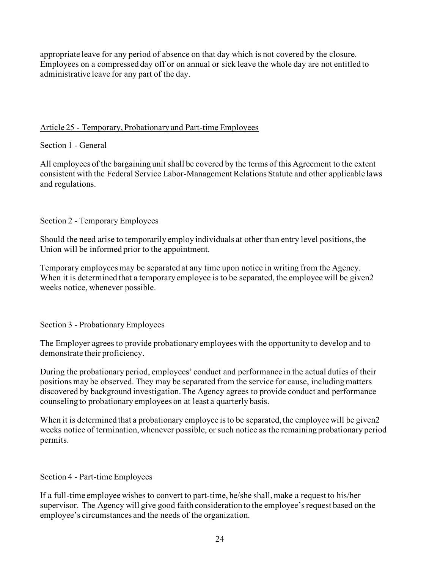appropriate leave for any period of absence on that day which is not covered by the closure. Employees on a compressed day off or on annual or sick leave the whole day are not entitled to administrative leave for any part of the day.

#### Article 25 - Temporary, Probationary and Part-time Employees

#### Section 1 - General

 All employees of the bargaining unit shall be covered by the terms of this Agreement to the extent consistent with the Federal Service Labor-Management Relations Statute and other applicable laws and regulations.

#### Section 2 - Temporary Employees

 Should the need arise to temporarily employ individuals at other than entry level positions, the Union will be informed prior to the appointment.

When it is determined that a temporary employee is to be separated, the employee will be given2 weeks notice, whenever possible. Temporary employees may be separated at any time upon notice in writing from the Agency.

#### Section 3 - Probationary Employees

 demonstrate their proficiency. The Employer agrees to provide probationary employees with the opportunity to develop and to

 During the probationary period, employees' conduct and performance in the actual duties of their positions may be observed. They may be separated from the service for cause, including matters counseling to probationary employees on at least a quarterly basis. discovered by background investigation. The Agency agrees to provide conduct and performance

 When it is determined that a probationary employee is to be separated, the employee will be given2 weeks notice of termination, whenever possible, or such notice as the remaining probationary period permits.

#### Section 4 - Part-time Employees

 If a full-time employee wishes to convert to part-time, he/she shall, make a request to his/her supervisor. The Agency will give good faith consideration to the employee's request based on the employee's circumstances and the needs of the organization.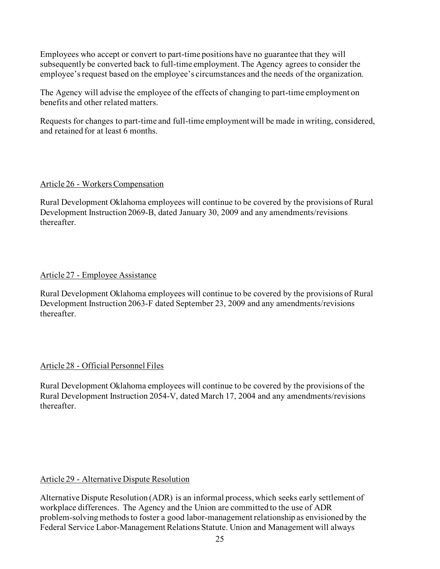employee's request based on the employee's circumstances and the needs of the organization. Employees who accept or convert to part-time positions have no guarantee that they will subsequently be converted back to full-time employment. The Agency agrees to consider the

 The Agency will advise the employee of the effects of changing to part-time employment on benefits and other related matters.

 Requests for changes to part-time and full-time employmentwill be made in writing, considered, and retained for at least 6 months.

## Article 26 - Workers Compensation

 Rural Development Oklahoma employees will continue to be covered by the provisions of Rural Development Instruction 2069-B, dated January 30, 2009 and any amendments/revisions thereafter.

#### Article 27 - Employee Assistance

 Rural Development Oklahoma employees will continue to be covered by the provisions of Rural Development Instruction 2063-F dated September 23, 2009 and any amendments/revisions thereafter.

## Article 28 - Official Personnel Files

 Rural Development Oklahoma employees will continue to be covered by the provisions of the Rural Development Instruction 2054-V, dated March 17, 2004 and any amendments/revisions thereafter.

## Article 29 - Alternative Dispute Resolution

 Alternative Dispute Resolution (ADR) is an informal process, which seeks early settlement of workplace differences. The Agency and the Union are committed to the use of ADR problem-solving methods to foster a good labor-management relationship as envisioned by the Federal Service Labor-Management Relations Statute. Union and Management will always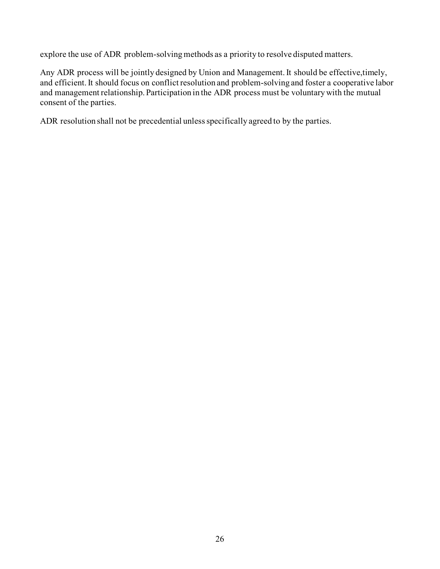explore the use of ADR problem-solving methods as a priority to resolve disputed matters.

 Any ADR process will be jointly designed by Union and Management. It should be effective,timely, and efficient. It should focus on conflict resolution and problem-solving and foster a cooperative labor and management relationship. Participation in the ADR process must be voluntary with the mutual consent of the parties.

ADR resolution shall not be precedential unless specifically agreed to by the parties.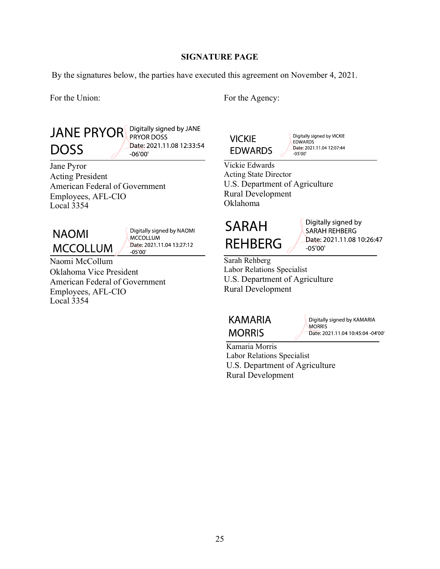#### SIGNATURE PAGE

By the signatures below, the parties have executed this agreement on November 4, 2021.

Digitally signed by JANE **JANE PRYOR DOSS** 

PRYOR DOSS Date: 2021.11.08 12:33:54  $-06'00'$ 

**Acting President** Jane Pyror Vickie Edwards American Federal of Government U.S. Department of<br>Employees AFL-CIO Employees, AFL-CIO Rural Development Rural Development Rural Development Rural Development Rural Development Rural Development Rural Development Rural Development Rural Development Rural Development Rural Development Rural Local  $3354$ 



Digitally signed by NAOMI **MCCOLLUM** Date: 2021.11.04 13:27:12  $-05'00'$ 

Oklahoma Vice President Oklahoma Vice President Labor Relations Specialist American Federal of Government U.S. Department of Agriculture Naomi McCollum Employees, AFL-CIO Rural Development Local 3354

For the Union: For the Agency:

**VICKIE EDWARDS**  Digitally signed by VICKIE **EDWARDS** Date: 2021.11.04 12:07:44  $-05'00'$ 

U.S. Department of Agriculture Acting State Director

**SARAH REHBERG** 

Digitally signed by SARAH REHBERG Date: 2021.11.08 10:26:47  $-05'00'$ 

Sarah Rehberg

**KAMARIA MORRIS** 

Digitally signed by KAMARIA **MORRIS** Date: 2021.11.04 10:45:04 -04'00'

 Labor Relations Specialist U.S. Department of Agriculture Kamaria Morris Rural Development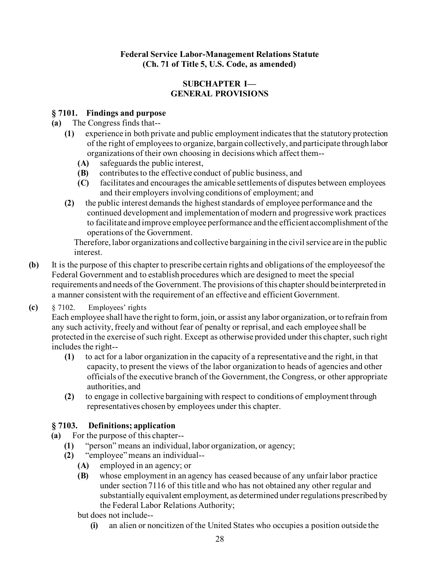#### **(Ch. 71 of Title 5, U.S. Code, as amended) Federal Service Labor-Management Relations Statute**

#### **SUBCHAPTER I— GENERAL PROVISIONS**

## **§ 7101. Findings and purpose**

- **(a)** The Congress finds that--
	- **(1)** experience in both private and public employment indicates that the statutory protection of the right of employees to organize, bargain collectively, and participate through labor organizations of their own choosing in decisions which affect them--
		- **(A)** safeguards the public interest,
		- **(B)** contributes to the effective conduct of public business, and
		- **(C)** facilitates and encourages the amicable settlements of disputes between employees and their employers involving conditions of employment; and
	- **(2)** the public interest demands the highest standards of employee performance and the to facilitateand improve employee performance and the efficient accomplishment of the operations of the Government. continued development and implementation of modern and progressive work practices

 Therefore, labor organizations and collective bargaining in the civil service are in the public interest.

 **(b)** It is the purpose of this chapter to prescribe certain rights and obligations of the employeesof the Federal Government and to establish procedures which are designed to meet the special requirements and needs of the Government. The provisions of this chapter should beinterpreted in a manner consistent with the requirement of an effective and efficient Government.

#### **(c)** § 7102. Employees' rights

 Each employee shall have the right to form, join, or assist any labor organization, or to refrain from any such activity, freely and without fear of penalty or reprisal, and each employee shall be protected in the exercise of such right. Except as otherwise provided under this chapter, such right includes the right--

- **(1)** to act for a labor organization in the capacity of a representative and the right, in that capacity, to present the views of the labor organization to heads of agencies and other officials of the executive branch of the Government, the Congress, or other appropriate authorities, and
- representatives chosen by employees under this chapter. **(2)** to engage in collective bargaining with respect to conditions of employment through

# **§ 7103. Definitions; application**

- **(a)** For the purpose of this chapter--
	- **(1)** "person" means an individual, labor organization, or agency;
	- **(2)** "employee" means an individual--
		- **(A)** employed in an agency; or
		- under section 7116 of this title and who has not obtained any other regular and substantially equivalent employment, as determined under regulations prescribed by the Federal Labor Relations Authority; **(B)** whose employment in an agency has ceased because of any unfair labor practice

but does not include--

**(i)** an alien or noncitizen of the United States who occupies a position outside the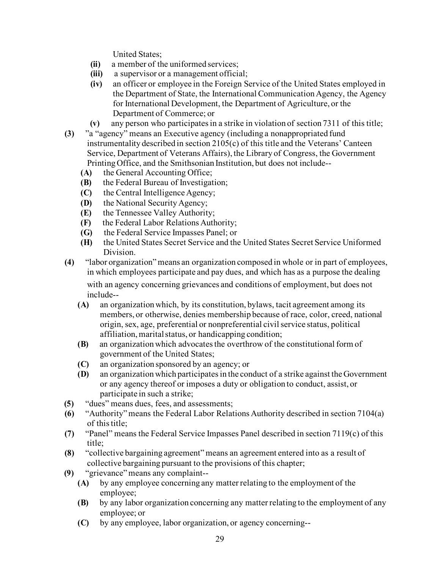United States;

- **(ii)** a member of the uniformed services;
- **(iii)** a supervisor or a management official;
- **(iv)** an officer or employee in the Foreign Service of the United States employed in Department of Commerce; or the Department of State, the International Communication Agency, the Agency for International Development, the Department of Agriculture, or the
- **(v)** any person who participates in a strike in violation of section 7311 of this title;
- instrumentality described in section 2105(c) of this title and the Veterans' Canteen Service, Department of Veterans Affairs), the Library of Congress, the Government Printing Office, and the Smithsonian Institution, but does not include-- **(3)** "a "agency" means an Executive agency (including a nonappropriated fund
	- **(A)** the General Accounting Office;
	- **(B)** the Federal Bureau of Investigation;
	- **(C)** the Central Intelligence Agency;
	- **(D)** the National Security Agency;
	- **(E)** the Tennessee Valley Authority;
	- **(F)** the Federal Labor Relations Authority;
	- **(G)** the Federal Service Impasses Panel; or
	- **(H)** the United States Secret Service and the United States Secret Service Uniformed Division.
- **(4)** "labor organization" means an organization composed in whole or in part of employees, in which employees participate and pay dues, and which has as a purpose the dealing

 with an agency concerning grievances and conditions of employment, but does not include--

- affiliation,marital status, or handicapping condition; **(A)** an organization which, by its constitution, bylaws, tacit agreement among its members, or otherwise, denies membership because of race, color, creed, national origin, sex, age, preferential or nonpreferential civil service status, political
- **(B)** an organization which advocates the overthrow of the constitutional form of government of the United States;
- **(C)** an organization sponsored by an agency; or
- **(D)** an organization which participates in the conduct of a strike against the Government or any agency thereof or imposes a duty or obligation to conduct, assist, or participate in such a strike;
- **(5)** "dues" means dues, fees, and assessments;
- **(6)** "Authority" means the Federal Labor Relations Authority described in section 7104(a) of this title;
- **(7)** "Panel" means the Federal Service Impasses Panel described in section 7119(c) of this title;
- **(8)** "collective bargaining agreement" means an agreement entered into as a result of collective bargaining pursuant to the provisions of this chapter;
- **(9)** "grievance" means any complaint--
	- **(A)** by any employee concerning any matter relating to the employment of the employee;
	- employee; or **(B)** by any labor organization concerning any matter relating to the employment of any
	- **(C)** by any employee, labor organization, or agency concerning--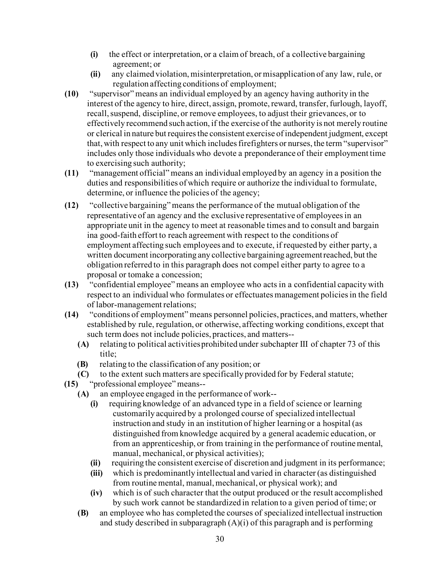- **(i)** the effect or interpretation, or a claim of breach, of a collective bargaining agreement; or
- regulation affecting conditions of employment; **(ii)** any claimed violation, misinterpretation, or misapplication of any law, rule, or
- interest of the agency to hire, direct, assign, promote, reward, transfer, furlough, layoff, effectively recommend such action, if the exercise of the authority is not merely routine or clerical in nature but requires the consistent exercise of independent judgment, except that, with respect to any unit which includes firefighters or nurses, the term "supervisor" includes only those individuals who devote a preponderance of their employment time to exercising such authority; **(10)** "supervisor" means an individual employed by an agency having authority in the recall, suspend, discipline, or remove employees, to adjust their grievances, or to
- **(11)** "management official" means an individual employed by an agency in a position the duties and responsibilities of which require or authorize the individual to formulate, determine, or influence the policies of the agency;
- **(12)** "collective bargaining" means the performance of the mutual obligation of the representative of an agency and the exclusive representative of employees in an appropriate unit in the agency to meet at reasonable times and to consult and bargain ina good-faith effort to reach agreement with respect to the conditions of written document incorporating any collective bargaining agreementreached, but the obligation referred to in this paragraph does not compel either party to agree to a proposal or tomake a concession; employment affecting such employees and to execute, if requested by either party, a
- **(13)** "confidential employee" means an employee who acts in a confidential capacity with respect to an individual who formulates or effectuates management policies in the field of labor-management relations;
- **(14)** "conditions of employment" means personnel policies, practices, and matters, whether such term does not include policies, practices, and matters- established by rule, regulation, or otherwise, affecting working conditions, except that
	- **(A)** relating to political activities prohibited under subchapter III of chapter 73 of this title;
	- **(B)** relating to the classification of any position; or
	- **(C)** to the extent such matters are specifically provided for by Federal statute;
- **(15)** "professional employee" means--
	- **(A)** an employee engaged in the performance of work--
		- **(i)** requiring knowledge of an advanced type in a field of science or learning instruction and study in an institution of higher learning or a hospital (as distinguished from knowledge acquired by a general academic education, or customarily acquired by a prolonged course of specialized intellectual from an apprenticeship, or from training in the performance of routine mental, manual, mechanical, or physical activities);
		- **(ii)** requiring the consistent exercise of discretion and judgment in its performance;
		- **(iii)** which is predominantly intellectual and varied in character (as distinguished from routine mental, manual, mechanical, or physical work); and
		- **(iv)** which is of such character that the output produced or the result accomplished by such work cannot be standardized in relation to a given period of time; or
	- **(B)** an employee who has completed the courses of specialized intellectual instruction and study described in subparagraph  $(A)(i)$  of this paragraph and is performing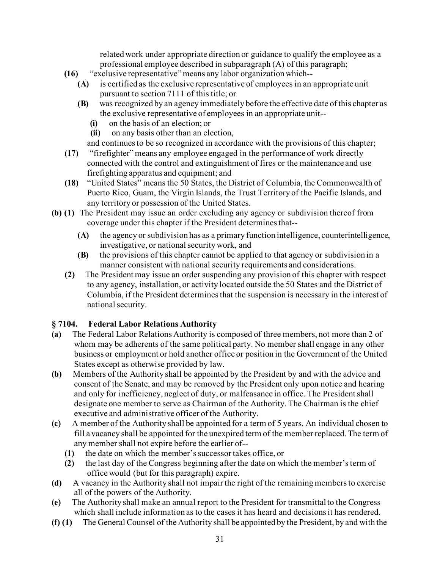related work under appropriate direction or guidance to qualify the employee as a professional employee described in subparagraph (A) of this paragraph;

- **(16)** "exclusive representative" means any labor organization which--
	- pursuant to section 7111 of this title; or **(A)** is certified as the exclusive representative of employees in an appropriate unit
	- **(B)** was recognized by an agency immediately before the effective date of this chapter as the exclusive representative of employees in an appropriate unit--
		- **(i)** on the basis of an election; or
		- **(ii)** on any basis other than an election,
		- and continues to be so recognized in accordance with the provisions of this chapter;
- **(17)** "firefighter" means any employee engaged in the performance of work directly connected with the control and extinguishment of fires or the maintenance and use firefighting apparatus and equipment; and
- **(18)** "United States" means the 50 States, the District of Columbia, the Commonwealth of Puerto Rico, Guam, the Virgin Islands, the Trust Territory of the Pacific Islands, and any territory or possession of the United States.
- **(b) (1)** The President may issue an order excluding any agency or subdivision thereof from coverage under this chapter if the President determines that--
	- **(A)** the agency or subdivision has as a primary function intelligence, counterintelligence, investigative, or national security work, and
	- **(B)** the provisions of this chapter cannot be applied to that agency or subdivision in a manner consistent with national security requirements and considerations.
	- **(2)** The President may issue an order suspending any provision of this chapter with respect to any agency, installation, or activity located outside the 50 States and the District of Columbia, if the President determines that the suspension is necessary in the interest of national security.

#### **§ 7104. Federal Labor Relations Authority**

- whom may be adherents of the same political party. No member shall engage in any other business or employment or hold another office or position in the Government of the United States except as otherwise provided by law. **(a)** The Federal Labor Relations Authority is composed of three members, not more than 2 of
- consent of the Senate, and may be removed by the President only upon notice and hearing and only for inefficiency, neglect of duty, or malfeasance in office. The President shall designate one member to serve as Chairman of the Authority. The Chairman is the chief executive and administrative officer of the Authority. **(b)** Members of the Authority shall be appointed by the President by and with the advice and
- **(c)** A member of the Authority shall be appointed for a term of 5 years. An individual chosen to fill a vacancy shall be appointed for the unexpired term of the member replaced. The term of any member shall not expire before the earlier of--
	- **(1)** the date on which the member's successor takes office, or
	- **(2)** the last day of the Congress beginning after the date on which the member's term of office would (but for this paragraph) expire.
- **(d)** A vacancy in the Authority shall not impair the right of the remaining members to exercise all of the powers of the Authority.
- **(e)** The Authority shall make an annual report to the President for transmittalto the Congress which shall include information as to the cases it has heard and decisions it has rendered.
- **(f) (1)** The General Counsel of the Authority shall be appointed by the President, by and with the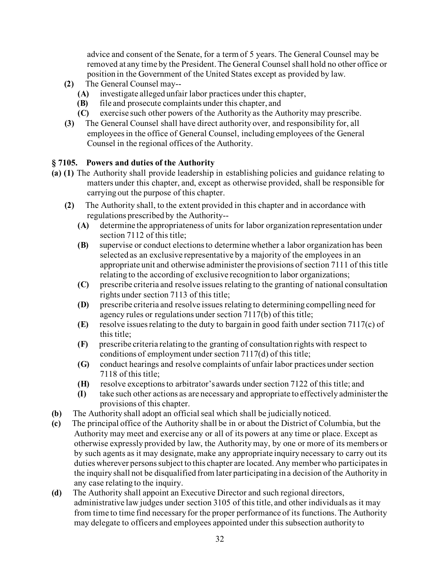advice and consent of the Senate, for a term of 5 years. The General Counsel may be removed at any time by the President. The General Counsel shall hold no other office or position in the Government of the United States except as provided by law.

- **(2)** The General Counsel may--
	- **(A)** investigate alleged unfair labor practices under this chapter,
	- **(B)** file and prosecute complaints under this chapter, and
	- **(C)** exercise such other powers of the Authority as the Authority may prescribe.
- Counsel in the regional offices of the Authority. **(3)** The General Counsel shall have direct authority over, and responsibility for, all employees in the office of General Counsel, including employees of the General

## **§ 7105. Powers and duties of the Authority**

- **(a) (1)** The Authority shall provide leadership in establishing policies and guidance relating to matters under this chapter, and, except as otherwise provided, shall be responsible for carrying out the purpose of this chapter.
	- **(2)** The Authority shall, to the extent provided in this chapter and in accordance with regulations prescribed by the Authority--
		- **(A)** determine the appropriateness of units for labor organization representation under section 7112 of this title;
		- **(B)** supervise or conduct elections to determine whether a labor organization has been selected as an exclusive representative by a majority of the employees in an appropriate unit and otherwise administer the provisions of section 7111 of this title relating to the according of exclusive recognition to labor organizations;
		- **(C)** prescribe criteria and resolve issues relating to the granting of national consultation rights under section 7113 of this title;
		- agency rules or regulations under section 7117(b) of this title; **(D)** prescribe criteria and resolve issues relating to determining compelling need for
		- **(E)** resolve issues relating to the duty to bargain in good faith under section 7117(c) of this title;
		- **(F)** prescribe criteria relating to the granting of consultation rights with respect to conditions of employment under section 7117(d) of this title;
		- 7118 of this title; **(G)** conduct hearings and resolve complaints of unfair labor practices under section
		- **(H)** resolve exceptionsto arbitrator's awards under section 7122 of this title; and
		- **(I)** take such other actions as are necessary and appropriate to effectively administer the provisions of this chapter.
- **(b)** The Authority shall adopt an official seal which shall be judicially noticed.
- **(c)** The principal office of the Authority shall be in or about the District of Columbia, but the Authority may meet and exercise any or all of its powers at any time or place. Except as otherwise expressly provided by law, the Authority may, by one or more of its members or by such agents as it may designate, make any appropriate inquiry necessary to carry out its duties wherever persons subject to this chapter are located. Any member who participates in the inquiry shall not be disqualified from later participating in a decision of the Authority in any case relating to the inquiry.
- administrative law judges under section 3105 of this title, and other individuals as it may from time to time find necessary for the proper performance of its functions. The Authority **(d)** The Authority shall appoint an Executive Director and such regional directors, may delegate to officers and employees appointed under this subsection authority to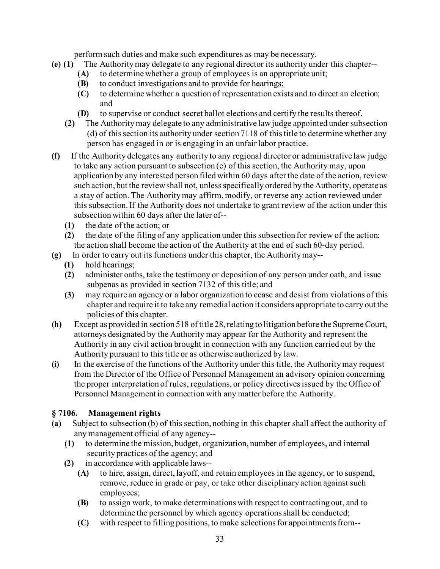perform such duties and make such expenditures as may be necessary.

**(e) (1)** The Authority may delegate to any regional director its authority under this chapter--

- **(A)** to determine whether a group of employees is an appropriate unit;
- **(B)** to conduct investigations and to provide for hearings;
- **(C)** to determine whether a question of representation exists and to direct an election; and
- **(D)** to supervise or conduct secret ballot elections and certify the results thereof.
- **(2)** The Authority may delegate to any administrative law judge appointed under subsection (d) of this section its authority under section 7118 of this title to determine whether any person has engaged in or is engaging in an unfair labor practice.
- **(f)** If the Authority delegates any authority to any regional director or administrative law judge application by any interested person filed within 60 days after the date of the action, review such action, but the review shall not, unless specifically ordered by the Authority, operate as a stay of action. The Authority may affirm, modify, or reverse any action reviewed under this subsection. If the Authority does not undertake to grant review of the action under this subsection within 60 days after the later of- to take any action pursuant to subsection (e) of this section, the Authority may, upon
	- **(1)** the date of the action; or
	- **(2)** the date of the filing of any application under this subsection for review of the action; the action shall become the action of the Authority at the end of such 60-day period.
- **(g)** In order to carry out its functions under this chapter, the Authority may--
	- **(1)** hold hearings;
	- **(2)** administer oaths, take the testimony or deposition of any person under oath, and issue subpenas as provided in section 7132 of this title; and
	- **(3)** may require an agency or a labor organization to cease and desist from violations of this chapter and require it to take any remedial action it considers appropriate to carry out the policies of this chapter.
- **(h)** Except as provided in section 518 of title 28, relating to litigation before the Supreme Court, Authority pursuant to this title or as otherwise authorized by law. attorneys designated by the Authority may appear for the Authority and represent the Authority in any civil action brought in connection with any function carried out by the
- **(i)** In the exercise of the functions of the Authority under this title, the Authority may request from the Director of the Office of Personnel Management an advisory opinion concerning Personnel Management in connection with any matter before the Authority. the proper interpretation of rules, regulations, or policy directives issued by the Office of

## **§ 7106. Management rights**

- any management official of any agency-- **(a)** Subject to subsection (b) of this section, nothing in this chapter shall affect the authority of
	- security practices of the agency; and **(1)** to determine the mission, budget, organization, number of employees, and internal
	- **(2)** in accordance with applicable laws--
		- **(A)** to hire, assign, direct, layoff, and retain employees in the agency, or to suspend, remove, reduce in grade or pay, or take other disciplinary action against such employees;
		- determine the personnel by which agency operations shall be conducted; **(B)** to assign work, to make determinations with respect to contracting out, and to
		- **(C)** with respect to filling positions, to make selections for appointments from--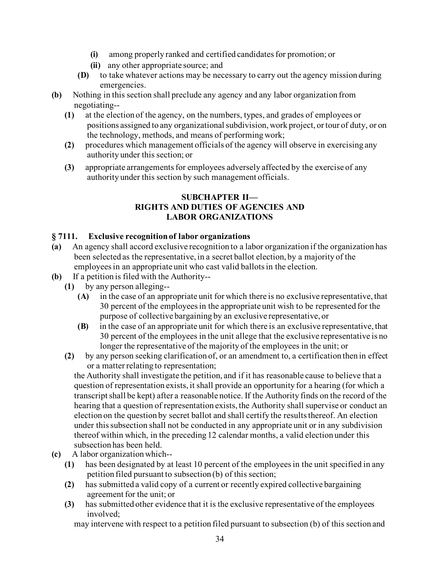- **(i)** among properly ranked and certified candidates for promotion; or
- **(ii)** any other appropriate source; and
- **(D)** to take whatever actions may be necessary to carry out the agency mission during emergencies.
- **(b)** Nothing in this section shall preclude any agency and any labor organization from negotiating--
	- **(1)** at the election of the agency, on the numbers, types, and grades of employees or positions assigned to any organizational subdivision, work project, or tour of duty, or on the technology, methods, and means of performing work;
	- **(2)** procedures which management officials of the agency will observe in exercising any authority under this section; or
	- **(3)** appropriate arrangements for employees adversely affected by the exercise of any authority under this section by such management officials.

### **SUBCHAPTER II— RIGHTS AND DUTIES OF AGENCIES AND LABOR ORGANIZATIONS**

#### **§ 7111. Exclusive recognition of labor organizations**

- **(a)** An agency shall accord exclusive recognition to a labor organization if the organization has been selected as the representative, in a secret ballot election, by a majority of the employees in an appropriate unit who cast valid ballots in the election.
- **(b)** If a petition is filed with the Authority--
	- **(1)** by any person alleging--
		- **(A)** in the case of an appropriate unit for which there is no exclusive representative, that 30 percent of the employees in the appropriate unit wish to be represented for the purpose of collective bargaining by an exclusive representative, or
		- **(B)** in the case of an appropriate unit for which there is an exclusive representative, that 30 percent of the employees in the unit allege that the exclusive representative is no longer the representative of the majority of the employees in the unit; or
	- **(2)** by any person seeking clarification of, or an amendment to, a certification then in effect or a matter relating to representation;

 the Authority shall investigate the petition, and if it has reasonable cause to believe that a transcript shall be kept) after a reasonable notice. If the Authority finds on the record of the hearing that a question of representation exists, the Authority shall supervise or conduct an election on the question by secret ballot and shall certify the results thereof. An election under this subsection shall not be conducted in any appropriate unit or in any subdivision question of representation exists, it shall provide an opportunity for a hearing (for which a thereof within which, in the preceding 12 calendar months, a valid election under this subsection has been held.

- **(c)** A labor organization which--
	- **(1)** has been designated by at least 10 percent of the employees in the unit specified in any petition filed pursuant to subsection (b) of this section;
	- **(2)** has submitted a valid copy of a current or recently expired collective bargaining agreement for the unit; or
	- **(3)** has submitted other evidence that it is the exclusive representative of the employees involved;

may intervene with respect to a petition filed pursuant to subsection (b) of this section and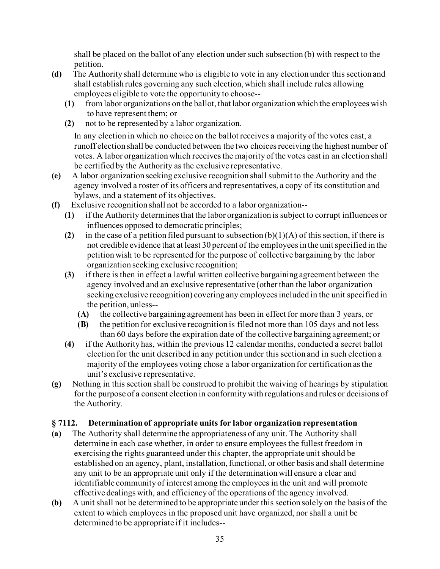shall be placed on the ballot of any election under such subsection (b) with respect to the petition.

- **(d)** The Authority shall determine who is eligible to vote in any election under this section and employees eligible to vote the opportunity to choose- shall establish rules governing any such election, which shall include rules allowing
	- **(1)** from labor organizations on the ballot, that labor organization which the employees wish to have represent them; or
	- **(2)** not to be represented by a labor organization.

 In any election in which no choice on the ballot receives a majority of the votes cast, a runoff election shall be conducted between the two choices receiving the highest number of votes. A labor organization which receives the majority of the votes cast in an election shall be certified by the Authority as the exclusive representative.

- **(e)** A labor organization seeking exclusive recognition shall submit to the Authority and the agency involved a roster of its officers and representatives, a copy of its constitution and bylaws, and a statement of its objectives.
- **(f)** Exclusive recognition shall not be accorded to a labor organization--
	- **(1)** if the Authority determines that the labor organization is subject to corrupt influences or influences opposed to democratic principles;
	- **(2)** in the case of a petition filed pursuant to subsection  $(b)(1)(A)$  of this section, if there is not credible evidence that at least 30 percent of the employees in the unit specified in the petition wish to be represented for the purpose of collective bargaining by the labor organization seeking exclusive recognition;
	- **(3)** if there is then in effect a lawful written collective bargaining agreement between the agency involved and an exclusive representative (other than the labor organization seeking exclusive recognition) covering any employees included in the unit specified in the petition, unless--
		- **(A)** the collective bargaining agreement has been in effect for more than 3 years, or
		- **(B)** the petition for exclusive recognition is filed not more than 105 days and not less than 60 days before the expiration date of the collective bargaining agreement; or
	- **(4)** if the Authority has, within the previous 12 calendar months, conducted a secret ballot majority of the employees voting chose a labor organization for certification as the unit's exclusive representative. election for the unit described in any petition under this section and in such election a
- for the purpose of a consent election in conformity with regulations and rules or decisions of the Authority. **(g)** Nothing in this section shall be construed to prohibit the waiving of hearings by stipulation

## **§ 7112. Determination of appropriate units for labor organization representation**

- determine in each case whether, in order to ensure employees the fullest freedom in exercising the rights guaranteed under this chapter, the appropriate unit should be established on an agency, plant, installation, functional, or other basis and shall determine any unit to be an appropriate unit only if the determination will ensure a clear and effective dealings with, and efficiency of the operations of the agency involved. **(a)** The Authority shall determine the appropriateness of any unit. The Authority shall identifiable community of interest among the employees in the unit and will promote
- **(b)** A unit shall not be determined to be appropriate under this section solely on the basis of the determined to be appropriate if it includes- extent to which employees in the proposed unit have organized, nor shall a unit be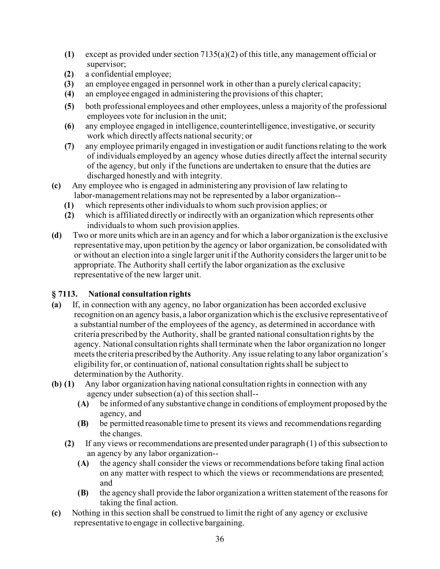- **(1)** except as provided under section 7135(a)(2) of this title, any management official or supervisor;
- **(2)** a confidential employee;
- **(3)** an employee engaged in personnel work in other than a purely clerical capacity;
- **(4)** an employee engaged in administering the provisions of this chapter;
- **(5)** both professional employees and other employees, unless a majority of the professional employees vote for inclusion in the unit;
- **(6)** any employee engaged in intelligence, counterintelligence, investigative, or security work which directly affects national security; or
- of individuals employed by an agency whose duties directly affect the internal security discharged honestly and with integrity. **(7)** any employee primarily engaged in investigation or audit functions relating to the work of the agency, but only if the functions are undertaken to ensure that the duties are
- **(c)** Any employee who is engaged in administering any provision of law relating to labor-management relations may not be represented by a labor organization--
	- **(1)** which represents other individuals to whom such provision applies; or
	- **(2)** which is affiliated directly or indirectly with an organization which represents other individuals to whom such provision applies.
- **(d)** Two or more units which are in an agency and for which a labor organization is the exclusive representative may, upon petition by the agency or labor organization, be consolidated with or without an election into a single larger unit if the Authority considers the larger unit to be representative of the new larger unit. appropriate. The Authority shall certify the labor organization as the exclusive

#### $\S$  7113. **§ 7113. National consultation rights**

- recognition on an agency basis, a labor organization which isthe exclusive representativeof a substantial number of the employees of the agency, as determined in accordance with criteria prescribed by the Authority, shall be granted national consultation rights by the agency. National consultation rights shall terminate when the labor organization no longer meets the criteria prescribed by the Authority. Any issue relating to any labor organization's eligibility for, or continuation of, national consultation rights shall be subject to determination by the Authority. **(a)** If, in connection with any agency, no labor organization has been accorded exclusive
- agency under subsection (a) of this section shall-- **(b) (1)** Any labor organization having national consultation rights in connection with any
	- **(A)** be informed of any substantive change in conditions of employment proposed by the agency, and
	- **(B)** be permitted reasonable time to present its views and recommendations regarding the changes.
	- **(2)** If any views or recommendations are presented under paragraph (1) of this subsection to an agency by any labor organization--
		- on any matter with respect to which the views or recommendations are presented; **(A)** the agency shall consider the views or recommendations before taking final action and
		- **(B)** the agency shall provide the labor organization a written statement of the reasons for taking the final action.
- **(c)** Nothing in this section shall be construed to limit the right of any agency or exclusive representative to engage in collective bargaining.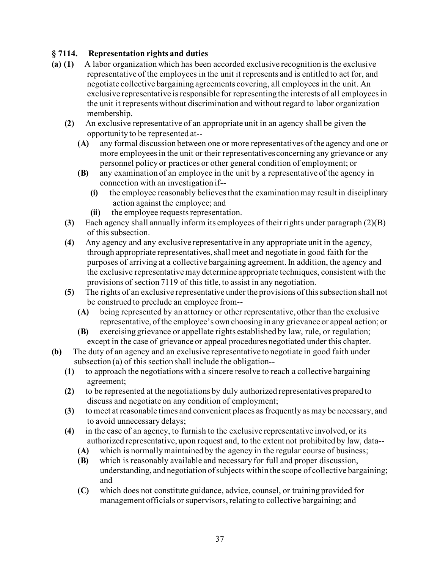## **§ 7114. Representation rights and duties**

- **(a) (1)** A labor organization which has been accorded exclusive recognition is the exclusive negotiate collective bargaining agreements covering, all employees in the unit. An exclusive representative is responsible for representing the interests of all employees in the unit it represents without discrimination and without regard to labor organization representative of the employees in the unit it represents and is entitled to act for, and membership.
	- **(2)** An exclusive representative of an appropriate unit in an agency shall be given the opportunity to be represented at--
		- **(A)** any formal discussion between one or more representatives of the agency and one or more employeesin the unit or their representatives concerning any grievance or any personnel policy or practices or other general condition of employment; or
		- **(B)** any examination of an employee in the unit by a representative of the agency in connection with an investigation if--
			- **(i)** the employee reasonably believes that the examination may result in disciplinary action against the employee; and
			- **(ii)** the employee requests representation.
	- **(3)** Each agency shall annually inform its employees of their rights under paragraph (2)(B) of this subsection.
	- **(4)** Any agency and any exclusive representative in any appropriate unit in the agency, purposes of arriving at a collective bargaining agreement. In addition, the agency and the exclusive representative may determine appropriate techniques, consistent with the provisions of section 7119 of this title, to assist in any negotiation. through appropriate representatives, shall meet and negotiate in good faith for the
	- **(5)** The rights of an exclusive representative under the provisions of this subsection shall not be construed to preclude an employee from--
		- **(A)** being represented by an attorney or other representative, other than the exclusive representative, of the employee's own choosing in any grievance or appeal action; or
		- except in the case of grievance or appeal procedures negotiated under this chapter. **(B)** exercising grievance or appellate rights established by law, rule, or regulation;
- **(b)** The duty of an agency and an exclusive representative to negotiate in good faith under subsection (a) of this section shall include the obligation--
	- **(1)** to approach the negotiations with a sincere resolve to reach a collective bargaining agreement;
	- **(2)** to be represented at the negotiations by duly authorized representatives prepared to discuss and negotiate on any condition of employment;
	- **(3)** to meet at reasonable times and convenient places as frequently as may be necessary, and to avoid unnecessary delays;
	- **(4)** in the case of an agency, to furnish to the exclusive representative involved, or its authorized representative, upon request and, to the extent not prohibited by law, data--
		- **(A)** which is normally maintained by the agency in the regular course of business;
		- understanding, and negotiation of subjects within the scope of collective bargaining; **(B)** which is reasonably available and necessary for full and proper discussion, and
		- **(C)** which does not constitute guidance, advice, counsel, or training provided for management officials or supervisors, relating to collective bargaining; and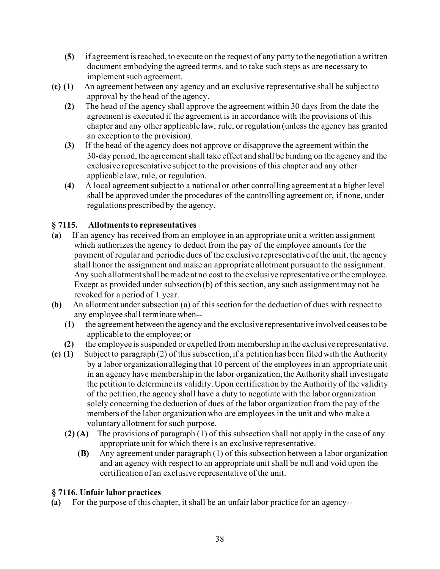- **(5)** if agreement is reached, to execute on the request of any party to the negotiation a written document embodying the agreed terms, and to take such steps as are necessary to implement such agreement.
- **(c) (1)** An agreement between any agency and an exclusive representative shall be subject to approval by the head of the agency.
	- **(2)** The head of the agency shall approve the agreement within 30 days from the date the agreement is executed if the agreement is in accordance with the provisions of this an exception to the provision). chapter and any other applicable law, rule, or regulation (unless the agency has granted
	- **(3)** If the head of the agency does not approve or disapprove the agreement within the 30-day period, the agreement shall take effect and shall be binding on the agency and the exclusive representative subject to the provisions of this chapter and any other applicable law, rule, or regulation.
	- **(4)** A local agreement subject to a national or other controlling agreement at a higher level regulations prescribed by the agency. shall be approved under the procedures of the controlling agreement or, if none, under

# **§ 7115. Allotments to representatives**

- **(a)** If an agency has received from an employee in an appropriate unit a written assignment payment of regular and periodic dues of the exclusive representative of the unit, the agency shall honor the assignment and make an appropriate allotment pursuant to the assignment. Any such allotmentshall be made at no cost to the exclusive representative or the employee. revoked for a period of 1 year. which authorizes the agency to deduct from the pay of the employee amounts for the Except as provided under subsection (b) of this section, any such assignment may not be
- **(b)** An allotment under subsection (a) of this section for the deduction of dues with respect to any employee shall terminate when--
	- **(1)** the agreement between the agency and the exclusive representative involved ceases to be applicable to the employee; or
	- **(2)** the employee is suspended or expelled from membership in the exclusive representative.
- **(c) (1)** Subject to paragraph (2) of this subsection, if a petition has been filed with the Authority in an agency have membership in the labor organization, the Authority shall investigate the petition to determine its validity. Upon certification by the Authority of the validity of the petition, the agency shall have a duty to negotiate with the labor organization solely concerning the deduction of dues of the labor organization from the pay of the members of the labor organization who are employees in the unit and who make a by a labor organization alleging that 10 percent of the employees in an appropriate unit voluntary allotment for such purpose.
	- $(2)$  (A) appropriate unit for which there is an exclusive representative. The provisions of paragraph (1) of this subsection shall not apply in the case of any
		- **(B)** Any agreement under paragraph (1) of this subsection between a labor organization and an agency with respect to an appropriate unit shall be null and void upon the certification of an exclusive representative of the unit.

# **§ 7116. Unfair labor practices**

**(a)** For the purpose of this chapter, it shall be an unfair labor practice for an agency--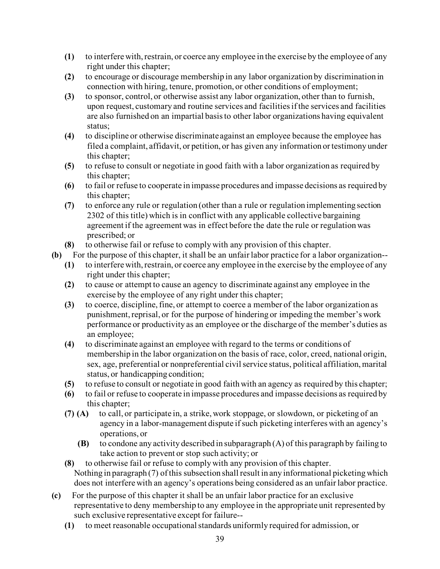- **(1)** to interfere with, restrain, or coerce any employee in the exercise by the employee of any right under this chapter;
- connection with hiring, tenure, promotion, or other conditions of employment; **(2)** to encourage or discourage membership in any labor organization by discrimination in
- upon request, customary and routine services and facilities if the services and facilities are also furnished on an impartial basis to other labor organizations having equivalent **(3)** to sponsor, control, or otherwise assist any labor organization, other than to furnish, status;
- **(4)** to discipline or otherwise discriminateagainst an employee because the employee has filed a complaint, affidavit, or petition, or has given any information or testimony under this chapter;
- this chapter; **(5)** to refuse to consult or negotiate in good faith with a labor organization as required by
- **(6)** to fail or refuse to cooperate in impasse procedures and impasse decisions as required by this chapter;
- **(7)** to enforce any rule or regulation (other than a rule or regulation implementing section 2302 of this title) which is in conflict with any applicable collective bargaining agreement if the agreement was in effect before the date the rule or regulation was prescribed; or
- **(8)** to otherwise fail or refuse to comply with any provision of this chapter.
- **(b)** For the purpose of this chapter, it shall be an unfair labor practice for a labor organization--
	- **(1)** to interfere with, restrain, or coerce any employee in the exercise by the employee of any right under this chapter;
	- **(2)** to cause or attempt to cause an agency to discriminate against any employee in the exercise by the employee of any right under this chapter;
	- **(3)** to coerce, discipline, fine, or attempt to coerce a member of the labor organization as punishment, reprisal, or for the purpose of hindering or impeding the member's work performance or productivity as an employee or the discharge of the member's duties as an employee;
	- **(4)** to discriminate against an employee with regard to the terms or conditions of membership in the labor organization on the basis of race, color, creed, national origin, status, or handicapping condition; sex, age, preferential or nonpreferential civil service status, political affiliation, marital
	- **(5)** to refuse to consult or negotiate in good faith with an agency as required by this chapter;
	- **(6)** to fail or refuse to cooperate in impasse procedures and impasse decisions as required by this chapter;
	- agency in a labor-management dispute if such picketing interferes with an agency's operations, or **(7) (A)** to call, or participate in, a strike, work stoppage, or slowdown, or picketing of an
		- **(B)** to condone any activity described in subparagraph (A) of this paragraph by failing to take action to prevent or stop such activity; or
	- **(8)** to otherwise fail or refuse to comply with any provision of this chapter. Nothing in paragraph (7) of this subsection shall result in any informational picketing which does not interfere with an agency's operations being considered as an unfair labor practice.
- such exclusive representative except for failure-- **(c)** For the purpose of this chapter it shall be an unfair labor practice for an exclusive representative to deny membership to any employee in the appropriate unit represented by
	- **(1)** to meet reasonable occupational standards uniformly required for admission, or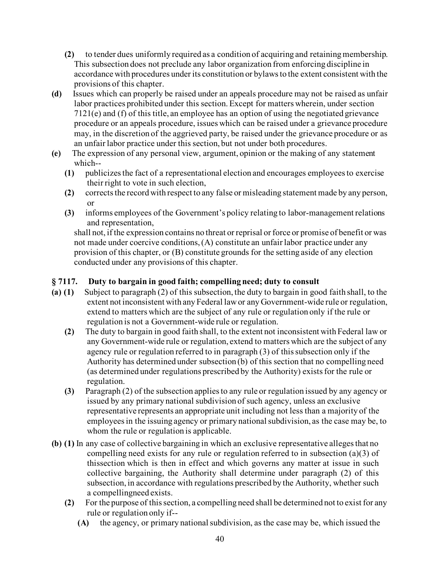- **(2)** to tender dues uniformly required as a condition of acquiring and retaining membership. This subsection does not preclude any labor organization from enforcing discipline in accordance with procedures under its constitution or bylaws to the extent consistent with the provisions of this chapter.
- **(d)** Issues which can properly be raised under an appeals procedure may not be raised as unfair labor practices prohibited under this section. Except for matters wherein, under section procedure or an appeals procedure, issues which can be raised under a grievance procedure may, in the discretion of the aggrieved party, be raised under the grievance procedure or as an unfair labor practice under this section, but not under both procedures. 7121(e) and (f) of this title, an employee has an option of using the negotiated grievance
- **(e)** The expression of any personal view, argument, opinion or the making of any statement which--
	- **(1)** publicizes the fact of a representational election and encourages employees to exercise their right to vote in such election,
	- **(2)** corrects the record with respect to any false or misleading statement made by any person, or
	- **(3)** informs employees of the Government's policy relating to labor-management relations and representation,

 shall not, if the expression contains no threat or reprisal or force or promise of benefit or was not made under coercive conditions, (A) constitute an unfair labor practice under any provision of this chapter, or (B) constitute grounds for the setting aside of any election conducted under any provisions of this chapter.

#### **§ 7117. Duty to bargain in good faith; compelling need; duty to consult**

- **(a) (1)** Subject to paragraph (2) of this subsection, the duty to bargain in good faith shall, to the extent not inconsistent with any Federal law or any Government-wide rule or regulation, regulation is not a Government-wide rule or regulation. extend to matters which are the subject of any rule or regulation only if the rule or
	- **(2)** The duty to bargain in good faith shall, to the extent not inconsistent with Federal law or any Government-wide rule or regulation, extend to matters which are the subject of any agency rule or regulation referred to in paragraph (3) of this subsection only if the (as determined under regulations prescribed by the Authority) exists for the rule or Authority has determined under subsection (b) of this section that no compelling need regulation.
	- **(3)** Paragraph (2) of the subsection applies to any rule or regulation issued by any agency or representative represents an appropriate unit including not less than a majority of the employees in the issuing agency or primary national subdivision, as the case may be, to whom the rule or regulation is applicable. issued by any primary national subdivision of such agency, unless an exclusive
- **(b) (1)** In any case of collective bargaining in which an exclusive representative alleges that no compelling need exists for any rule or regulation referred to in subsection (a)(3) of thissection which is then in effect and which governs any matter at issue in such collective bargaining, the Authority shall determine under paragraph (2) of this a compellingneed exists. subsection, in accordance with regulations prescribed by the Authority, whether such
	- **(2)** For the purpose of this section, a compelling need shall be determined not to exist for any rule or regulation only if--
		- **(A)** the agency, or primary national subdivision, as the case may be, which issued the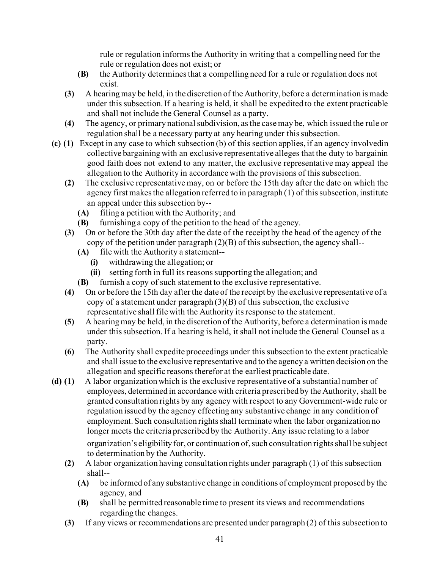rule or regulation informs the Authority in writing that a compelling need for the rule or regulation does not exist; or

- **(B)** the Authority determines that a compelling need for a rule or regulation does not exist.
- **(3)** A hearing may be held, in the discretion of the Authority, before a determination is made under this subsection. If a hearing is held, it shall be expedited to the extent practicable and shall not include the General Counsel as a party.
- **(4)** The agency, or primary national subdivision, as the case may be, which issued the rule or regulation shall be a necessary party at any hearing under this subsection.
- **(c) (1)** Except in any case to which subsection (b) of this section applies, if an agency involvedin collective bargaining with an exclusive representative alleges that the duty to bargainin good faith does not extend to any matter, the exclusive representative may appeal the allegation to the Authority in accordance with the provisions of this subsection.
	- **(2)** The exclusive representative may, on or before the 15th day after the date on which the agency first makes the allegation referred to in paragraph (1) of this subsection, institute an appeal under this subsection by--
		- **(A)** filing a petition with the Authority; and
		- **(B)** furnishing a copy of the petition to the head of the agency.
	- **(3)** On or before the 30th day after the date of the receipt by the head of the agency of the copy of the petition under paragraph (2)(B) of this subsection, the agency shall--
		- **(A)** file with the Authority a statement--
			- **(i)** withdrawing the allegation; or
			- **(ii)** setting forth in full its reasons supporting the allegation; and
		- **(B)** furnish a copy of such statement to the exclusive representative.
	- **(4)** On or before the 15th day after the date of the receipt by the exclusive representative of a copy of a statement under paragraph  $(3)(B)$  of this subsection, the exclusive representative shall file with the Authority its response to the statement.
	- **(5)** A hearing may be held, in the discretion of the Authority, before a determination is made under this subsection. If a hearing is held, it shall not include the General Counsel as a party.
	- and shall issue to the exclusive representative and to the agency a written decision on the allegation and specific reasons therefor at the earliest practicable date. **(6)** The Authority shall expedite proceedings under this subsection to the extent practicable
- **(d) (1)** A labor organization which is the exclusive representative of a substantial number of employees, determined in accordance with criteria prescribed by the Authority, shall be granted consultation rights by any agency with respect to any Government-wide rule or employment. Such consultation rights shall terminate when the labor organization no longer meets the criteria prescribed by the Authority. Any issue relating to a labor regulation issued by the agency effecting any substantive change in any condition of

 organization's eligibility for, or continuation of, such consultation rights shall be subject to determination by the Authority.

- **(2)** A labor organization having consultation rights under paragraph (1) of this subsection shall--
	- **(A)** be informed of any substantive change in conditions of employment proposed by the agency, and
	- **(B)** shall be permitted reasonable time to present its views and recommendations regarding the changes.
- **(3)** If any views or recommendations are presented under paragraph (2) of this subsection to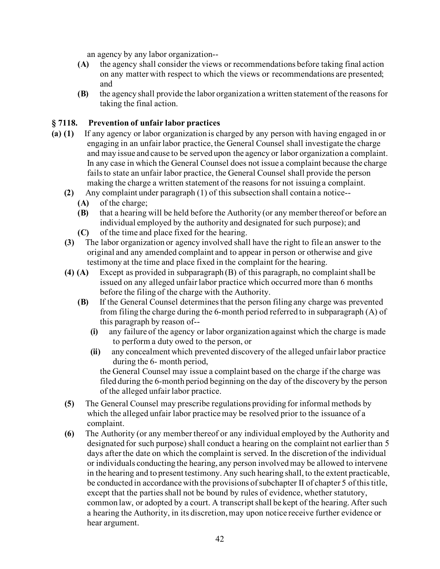an agency by any labor organization--

- on any matter with respect to which the views or recommendations are presented; **(A)** the agency shall consider the views or recommendations before taking final action and
- **(B)** the agency shall provide the labor organization a written statement of the reasons for taking the final action.

### **§ 7118. Prevention of unfair labor practices**

- engaging in an unfair labor practice, the General Counsel shall investigate the charge and may issue and cause to be served upon the agency or labor organization a complaint. In any case in which the General Counsel does not issue a complaint because the charge making the charge a written statement of the reasons for not issuing a complaint. **(a) (1)** If any agency or labor organization is charged by any person with having engaged in or fails to state an unfair labor practice, the General Counsel shall provide the person
	- **(2)** Any complaint under paragraph (1) of this subsection shall contain a notice--
		- **(A)** of the charge;
		- **(B)** that a hearing will be held before the Authority (or any member thereof or before an individual employed by the authority and designated for such purpose); and
		- **(C)** of the time and place fixed for the hearing.
	- **(3)** The labor organization or agency involved shall have the right to file an answer to the original and any amended complaint and to appear in person or otherwise and give testimony at the time and place fixed in the complaint for the hearing.
	- **(4) (A)** Except as provided in subparagraph (B) of this paragraph, no complaint shall be before the filing of the charge with the Authority. issued on any alleged unfair labor practice which occurred more than 6 months
		- **(B)** If the General Counsel determines that the person filing any charge was prevented from filing the charge during the 6-month period referred to in subparagraph (A) of this paragraph by reason of--
			- **(i)** any failure of the agency or labor organization against which the charge is made to perform a duty owed to the person, or
			- **(ii)** any concealment which prevented discovery of the alleged unfair labor practice during the 6- month period, the General Counsel may issue a complaint based on the charge if the charge was filed during the 6-month period beginning on the day of the discovery by the person of the alleged unfair labor practice.
	- which the alleged unfair labor practice may be resolved prior to the issuance of a **(5)** The General Counsel may prescribe regulations providing for informal methods by complaint.
	- **(6)** The Authority (or any member thereof or any individual employed by the Authority and designated for such purpose) shall conduct a hearing on the complaint not earlier than 5 days after the date on which the complaint is served. In the discretion of the individual or individuals conducting the hearing, any person involved may be allowed to intervene in the hearing and to present testimony. Any such hearing shall, to the extent practicable, be conducted in accordance with the provisions of subchapter II of chapter 5 of this title, except that the parties shall not be bound by rules of evidence, whether statutory, common law, or adopted by a court. A transcript shall be kept of the hearing. After such a hearing the Authority, in its discretion, may upon notice receive further evidence or hear argument.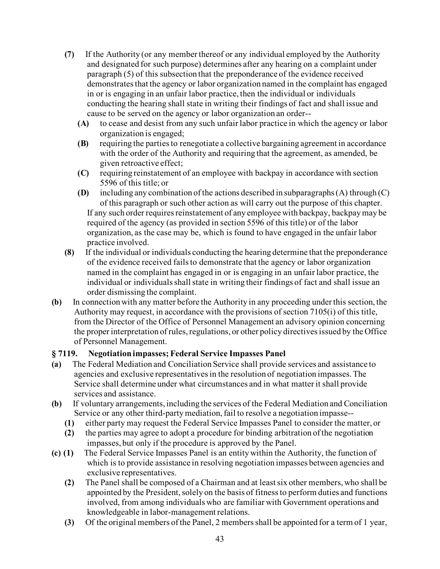- **(7)** If the Authority (or any member thereof or any individual employed by the Authority and designated for such purpose) determines after any hearing on a complaint under paragraph (5) of this subsection that the preponderance of the evidence received demonstrates that the agency or labor organization named in the complaint has engaged in or is engaging in an unfair labor practice, then the individual or individuals conducting the hearing shall state in writing their findings of fact and shall issue and cause to be served on the agency or labor organization an order--
	- **(A)** to cease and desist from any such unfair labor practice in which the agency or labor organization is engaged;
	- **(B)** requiring the parties to renegotiate a collective bargaining agreement in accordance given retroactive effect; with the order of the Authority and requiring that the agreement, as amended, be
	- 5596 of this title; or **(C)** requiring reinstatement of an employee with backpay in accordance with section
	- **(D)** including any combination of the actions described in subparagraphs (A) through (C) of this paragraph or such other action as will carry out the purpose of this chapter. If any such order requires reinstatement of any employee with backpay, backpay may be required of the agency (as provided in section 5596 of this title) or of the labor practice involved. organization, as the case may be, which is found to have engaged in the unfair labor
- **(8)** If the individual or individuals conducting the hearing determine that the preponderance of the evidence received fails to demonstrate that the agency or labor organization named in the complaint has engaged in or is engaging in an unfair labor practice, the individual or individuals shall state in writing their findings of fact and shall issue an order dismissing the complaint.
- **(b)** In connection with any matter before the Authority in any proceeding under this section, the the proper interpretation of rules, regulations, or other policy directives issued by the Office Authority may request, in accordance with the provisions of section 7105(i) of this title, from the Director of the Office of Personnel Management an advisory opinion concerning of Personnel Management.

#### **§ 7119. Negotiation impasses; Federal Service Impasses Panel**

- Service shall determine under what circumstances and in what matter it shall provide **(a)** The Federal Mediation and Conciliation Service shall provide services and assistance to agencies and exclusive representatives in the resolution of negotiation impasses. The services and assistance.
- **(b)** If voluntary arrangements, including the services of the Federal Mediation and Conciliation Service or any other third-party mediation, fail to resolve a negotiation impasse--
	- **(1)** either party may request the Federal Service Impasses Panel to consider the matter, or
	- **(2)** the parties may agree to adopt a procedure for binding arbitration of the negotiation impasses, but only if the procedure is approved by the Panel.
- which is to provide assistance in resolving negotiation impasses between agencies and **(c) (1)** The Federal Service Impasses Panel is an entity within the Authority, the function of exclusive representatives.
	- **(2)** The Panel shall be composed of a Chairman and at least six other members, who shall be appointed by the President, solely on the basis of fitness to perform duties and functions involved, from among individuals who are familiar with Government operations and knowledgeable in labor-management relations.
	- **(3)** Of the original members of the Panel, 2 members shall be appointed for a term of 1 year,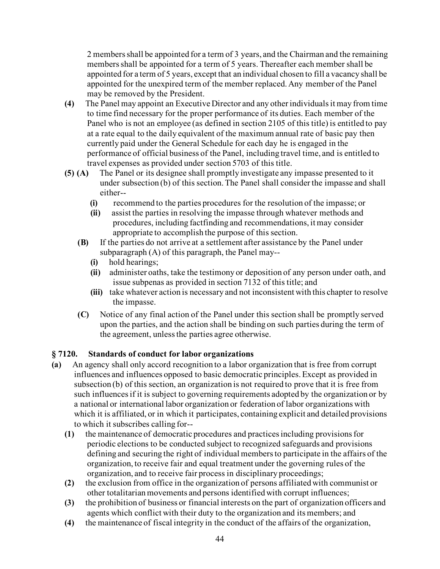2 members shall be appointed for a term of 3 years, and the Chairman and the remaining members shall be appointed for a term of 5 years. Thereafter each member shall be appointed for a term of 5 years, except that an individual chosen to fill a vacancy shall be appointed for the unexpired term of the member replaced. Any member of the Panel may be removed by the President.

- **(4)** The Panel may appoint an Executive Director and any other individuals it may from time to time find necessary for the proper performance of its duties. Each member of the Panel who is not an employee (as defined in section 2105 of this title) is entitled to pay at a rate equal to the daily equivalent of the maximum annual rate of basic pay then performance of official business of the Panel, including travel time, and is entitled to travel expenses as provided under section 5703 of this title. currently paid under the General Schedule for each day he is engaged in the
- **(5) (A)** The Panel or its designee shall promptly investigate any impasse presented to it under subsection (b) of this section. The Panel shall consider the impasse and shall either--
	- **(i)** recommend to the parties procedures for the resolution of the impasse; or
	- **(ii)** assist the parties in resolving the impasse through whatever methods and appropriate to accomplish the purpose of this section. procedures, including factfinding and recommendations, it may consider
	- **(B)** If the parties do not arrive at a settlement after assistance by the Panel under subparagraph (A) of this paragraph, the Panel may--
		- **(i)** hold hearings;
		- issue subpenas as provided in section 7132 of this title; and **(ii)** administer oaths, take the testimony or deposition of any person under oath, and
		- **(iii)** take whatever action is necessary and not inconsistent with this chapter to resolve the impasse.
	- **(C)** Notice of any final action of the Panel under this section shall be promptly served upon the parties, and the action shall be binding on such parties during the term of the agreement, unless the parties agree otherwise.

## **§ 7120. Standards of conduct for labor organizations**

- such influences if it is subject to governing requirements adopted by the organization or by a national or international labor organization or federation of labor organizations with which it is affiliated, or in which it participates, containing explicit and detailed provisions to which it subscribes calling for-- **(a)** An agency shall only accord recognition to a labor organization that is free from corrupt influences and influences opposed to basic democratic principles. Except as provided in subsection (b) of this section, an organization is not required to prove that it is free from
	- defining and securing the right of individual members to participate in the affairs of the organization, to receive fair and equal treatment under the governing rules of the organization, and to receive fair process in disciplinary proceedings; **(1)** the maintenance of democratic procedures and practices including provisions for periodic elections to be conducted subject to recognized safeguards and provisions
	- other totalitarian movements and persons identified with corrupt influences; **(2)** the exclusion from office in the organization of persons affiliated with communist or
	- **(3)** the prohibition of business or financial interests on the part of organization officers and agents which conflict with their duty to the organization and its members; and
	- **(4)** the maintenance of fiscal integrity in the conduct of the affairs of the organization,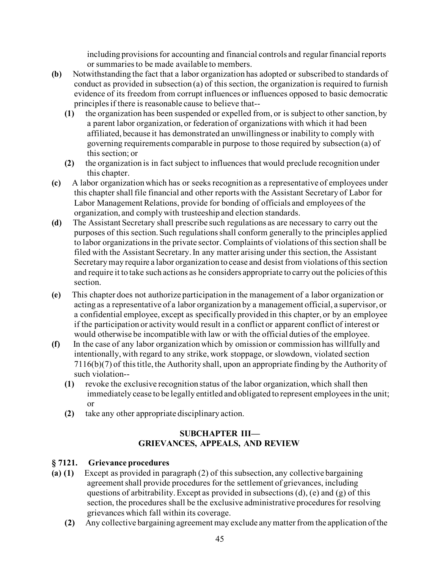including provisions for accounting and financial controls and regular financial reports or summaries to be made available to members.

- **(b)** Notwithstanding the fact that a labor organization has adopted or subscribed to standards of evidence of its freedom from corrupt influences or influences opposed to basic democratic principles if there is reasonable cause to believe that- conduct as provided in subsection (a) of this section, the organization is required to furnish
	- **(1)** the organization has been suspended or expelled from, or is subject to other sanction, by affiliated, because it has demonstrated an unwillingness or inability to comply with governing requirements comparable in purpose to those required by subsection (a) of this section; or a parent labor organization, or federation of organizations with which it had been
	- this chapter. **(2)** the organization is in fact subject to influences that would preclude recognition under
- **(c)** A labor organization which has or seeks recognition as a representative of employees under this chapter shall file financial and other reports with the Assistant Secretary of Labor for organization, and comply with trusteeship and election standards. Labor Management Relations, provide for bonding of officials and employees of the
- **(d)** The Assistant Secretary shall prescribe such regulations as are necessary to carry out the to labor organizations in the private sector. Complaints of violations of this section shall be filed with the Assistant Secretary. In any matter arising under this section, the Assistant Secretary may require a labor organization to cease and desist from violations of this section and require it to take such actions as he considers appropriate to carry out the policies of this purposes of this section. Such regulations shall conform generally to the principles applied section.
- **(e)** This chapter does not authorize participation in the management of a labor organization or acting as a representative of a labor organization by a management official, a supervisor, or if the participation or activity would result in a conflict or apparent conflict of interest or would otherwise be incompatible with law or with the official duties of the employee. a confidential employee, except as specifically provided in this chapter, or by an employee
- **(f)** In the case of any labor organization which by omission or commission has willfully and 7116(b)(7) of this title, the Authority shall, upon an appropriate finding by the Authority of such violation- intentionally, with regard to any strike, work stoppage, or slowdown, violated section
	- **(1)** revoke the exclusive recognition status of the labor organization, which shall then immediately cease to be legally entitled and obligated to represent employees in the unit; or
	- **(2)** take any other appropriate disciplinary action.

## **GRIEVANCES, APPEALS, AND REVIEW SUBCHAPTER III—**

## **§ 7121. Grievance procedures**

- agreement shall provide procedures for the settlement of grievances, including questions of arbitrability. Except as provided in subsections (d), (e) and (g) of this section, the procedures shall be the exclusive administrative procedures for resolving **(a) (1)** Except as provided in paragraph (2) of this subsection, any collective bargaining grievances which fall within its coverage.
	- **(2)** Any collective bargaining agreement may exclude any matter from the application of the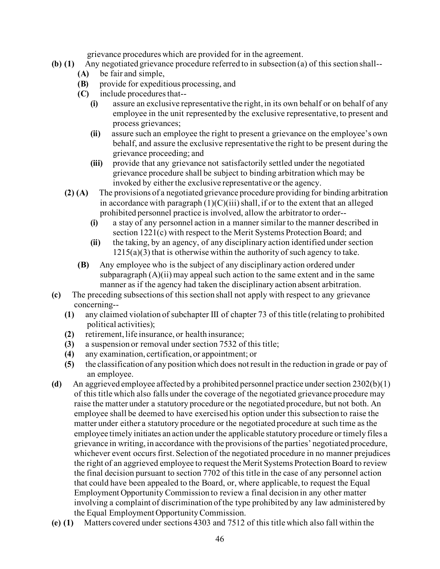grievance procedures which are provided for in the agreement.

- **(b) (1)** Any negotiated grievance procedure referred to in subsection (a) of this section shall--
	- **(A)** be fair and simple,
	- **(B)** provide for expeditious processing, and
	- **(C)** include procedures that--
		- **(i)** assure an exclusive representative the right, in its own behalf or on behalf of any process grievances; employee in the unit represented by the exclusive representative, to present and
		- **(ii)** assure such an employee the right to present a grievance on the employee's own behalf, and assure the exclusive representative the right to be present during the grievance proceeding; and
		- grievance procedure shall be subject to binding arbitration which may be invoked by either the exclusive representative or the agency. **(iii)** provide that any grievance not satisfactorily settled under the negotiated
	- **(2) (A)** The provisions of a negotiated grievance procedure providing for binding arbitration prohibited personnel practice is involved, allow the arbitrator to order- in accordance with paragraph  $(1)(C)(iii)$  shall, if or to the extent that an alleged
		- **(i)** a stay of any personnel action in a manner similar to the manner described in section 1221(c) with respect to the Merit Systems Protection Board; and
		- $1215(a)(3)$  that is otherwise within the authority of such agency to take. **(ii)** the taking, by an agency, of any disciplinary action identified under section
		- manner as if the agency had taken the disciplinary action absent arbitration. **(B)** Any employee who is the subject of any disciplinary action ordered under subparagraph  $(A)(ii)$  may appeal such action to the same extent and in the same
- **(c)** The preceding subsections of this section shall not apply with respect to any grievance concerning--
	- **(1)** any claimed violation of subchapter III of chapter 73 of this title (relating to prohibited political activities);
	- **(2)** retirement, life insurance, or health insurance;
	- **(3)** a suspension or removal under section 7532 of this title;
	- **(4)** any examination, certification, or appointment; or
	- **(5)** the classification of any position which does not result in the reduction in grade or pay of an employee.
- **(d)** An aggrieved employee affected by a prohibited personnel practice under section 2302(b)(1) of this title which also falls under the coverage of the negotiated grievance procedure may raise the matter under a statutory procedure or the negotiated procedure, but not both. An employee shall be deemed to have exercised his option under this subsection to raise the matter under either a statutory procedure or the negotiated procedure at such time as the employee timely initiates an action under the applicable statutory procedure or timely files a grievance in writing, in accordance with the provisions of the parties' negotiated procedure, the right of an aggrieved employee to request the Merit Systems Protection Board to review the final decision pursuant to section 7702 of this title in the case of any personnel action involving a complaint of discrimination of the type prohibited by any law administered by whichever event occurs first. Selection of the negotiated procedure in no manner prejudices that could have been appealed to the Board, or, where applicable, to request the Equal Employment Opportunity Commission to review a final decision in any other matter the Equal Employment Opportunity Commission.
- **(e) (1)** Matters covered under sections 4303 and 7512 of this title which also fall within the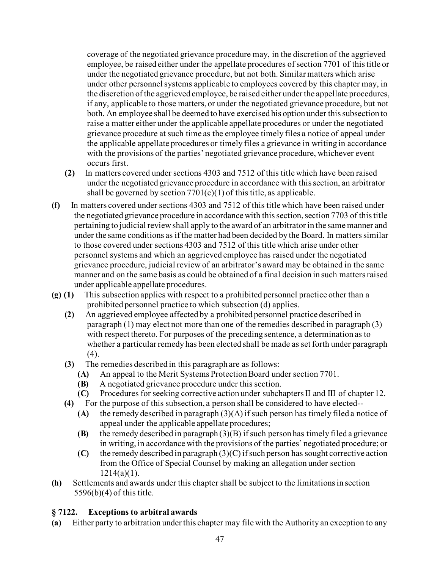employee, be raised either under the appellate procedures of section 7701 of this title or under the negotiated grievance procedure, but not both. Similar matters which arise the discretion of the aggrieved employee, be raised either under the appellate procedures, both. An employee shall be deemed to have exercised his option under this subsection to raise a matter either under the applicable appellate procedures or under the negotiated grievance procedure at such time as the employee timely files a notice of appeal under the applicable appellate procedures or timely files a grievance in writing in accordance with the provisions of the parties' negotiated grievance procedure, whichever event occurs first. coverage of the negotiated grievance procedure may, in the discretion of the aggrieved under other personnel systems applicable to employees covered by this chapter may, in if any, applicable to those matters, or under the negotiated grievance procedure, but not

- **(2)** In matters covered under sections 4303 and 7512 of this title which have been raised under the negotiated grievance procedure in accordance with this section, an arbitrator shall be governed by section  $7701(c)(1)$  of this title, as applicable.
- **(f)** In matters covered under sections 4303 and 7512 of this title which have been raised under the negotiated grievance procedure in accordance with this section, section 7703 of this title pertaining to judicial review shall apply to the award of an arbitrator in the same manner and under the same conditions as if the matter had been decided by the Board. In matters similar to those covered under sections 4303 and 7512 of this title which arise under other grievance procedure, judicial review of an arbitrator's award may be obtained in the same manner and on the same basis as could be obtained of a final decision in such matters raised under applicable appellate procedures. personnel systems and which an aggrieved employee has raised under the negotiated
- prohibited personnel practice to which subsection (d) applies. **(g) (1)** This subsection applies with respect to a prohibited personnel practice other than a
	- paragraph (1) may elect not more than one of the remedies described in paragraph (3) with respect thereto. For purposes of the preceding sentence, a determination as to whether a particular remedy has been elected shall be made as set forth under paragraph **(2)** An aggrieved employee affected by a prohibited personnel practice described in (4).
	- **(3)** The remedies described in this paragraph are as follows:
		- **(A)** An appeal to the Merit Systems Protection Board under section 7701.
		- **(B)** A negotiated grievance procedure under this section.
		- **(C)** Procedures for seeking corrective action under subchapters II and III of chapter 12.
	- **(4)** For the purpose of this subsection, a person shall be considered to have elected--
		- **(A)** the remedy described in paragraph (3)(A) if such person has timely filed a notice of appeal under the applicable appellate procedures;
		- **(B)** the remedy described in paragraph (3)(B) if such person has timely filed a grievance in writing, in accordance with the provisions of the parties' negotiated procedure; or
		- **(C)** the remedy described in paragraph (3)(C) if such person has sought corrective action from the Office of Special Counsel by making an allegation under section  $1214(a)(1)$ .
- **(h)** Settlements and awards under this chapter shall be subject to the limitations in section 5596(b)(4) of this title.

## **§ 7122. Exceptions to arbitral awards**

**(a)** Either party to arbitration under this chapter may file with the Authority an exception to any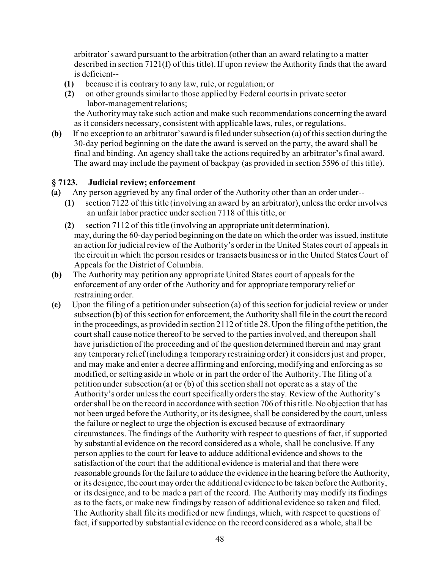arbitrator's award pursuant to the arbitration (other than an award relating to a matter is deficient- described in section 7121(f) of this title). If upon review the Authority finds that the award

- **(1)** because it is contrary to any law, rule, or regulation; or
- **(2)** on other grounds similar to those applied by Federal courts in private sector labor-management relations;

 the Authority may take such action and make such recommendations concerning the award as it considers necessary, consistent with applicable laws, rules, or regulations.

**(b)** If no exception to an arbitrator's award is filed under subsection (a) of this section during the final and binding. An agency shall take the actions required by an arbitrator's final award. The award may include the payment of backpay (as provided in section 5596 of this title). 30-day period beginning on the date the award is served on the party, the award shall be

#### **§ 7123. Judicial review; enforcement**

- **(a)** Any person aggrieved by any final order of the Authority other than an order under--
	- **(1)** section 7122 of this title (involving an award by an arbitrator), unless the order involves an unfair labor practice under section 7118 of this title, or
	- **(2)** section 7112 of this title (involving an appropriate unit determination), may, during the 60-day period beginning on the date on which the order was issued, institute an action for judicial review of the Authority's order in the United States court of appeals in the circuit in which the person resides or transacts business or in the United States Court of Appeals for the District of Columbia.
- enforcement of any order of the Authority and for appropriate temporary relief or restraining order. **(b)** The Authority may petition any appropriate United States court of appeals for the
- **(c)** Upon the filing of a petition under subsection (a) of this section for judicial review or under subsection (b) of this section for enforcement, the Authority shall file in the court the record in the proceedings, as provided in section 2112 of title 28. Upon the filing of the petition, the any temporary relief (including a temporary restraining order) it considers just and proper, and may make and enter a decree affirming and enforcing, modifying and enforcing as so modified, or setting aside in whole or in part the order of the Authority. The filing of a petition under subsection (a) or (b) of this section shall not operate as a stay of the Authority's order unless the court specifically orders the stay. Review of the Authority's order shall be on the record in accordance with section 706 of this title. No objection that has not been urged before the Authority, or its designee, shall be considered by the court, unless circumstances. The findings of the Authority with respect to questions of fact, if supported by substantial evidence on the record considered as a whole, shall be conclusive. If any person applies to the court for leave to adduce additional evidence and shows to the reasonable grounds for the failure to adduce the evidence in the hearing before the Authority, or its designee, the court may order the additional evidence to be taken before the Authority, or its designee, and to be made a part of the record. The Authority may modify its findings as to the facts, or make new findings by reason of additional evidence so taken and filed. The Authority shall file its modified or new findings, which, with respect to questions of court shall cause notice thereof to be served to the parties involved, and thereupon shall have jurisdiction of the proceeding and of the question determined therein and may grant the failure or neglect to urge the objection is excused because of extraordinary satisfaction of the court that the additional evidence is material and that there were fact, if supported by substantial evidence on the record considered as a whole, shall be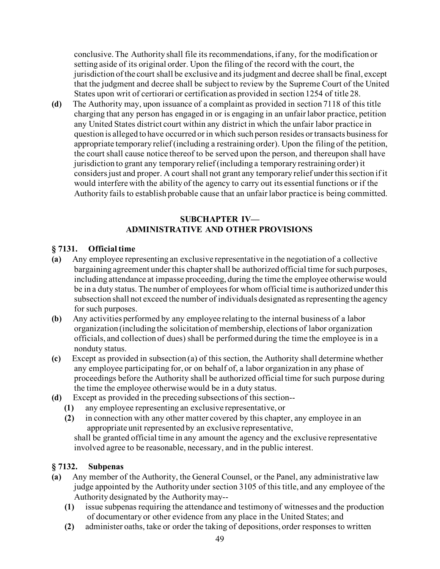conclusive. The Authority shall file its recommendations, if any, for the modification or setting aside of its original order. Upon the filing of the record with the court, the jurisdiction of the court shall be exclusive and its judgment and decree shall be final, except that the judgment and decree shall be subject to review by the Supreme Court of the United States upon writ of certiorari or certification as provided in section 1254 of title 28.

 **(d)** The Authority may, upon issuance of a complaint as provided in section 7118 of this title question is alleged to have occurred or in which such person resides or transacts business for appropriate temporary relief (including a restraining order). Upon the filing of the petition, the court shall cause notice thereof to be served upon the person, and thereupon shall have considers just and proper. A court shall not grant any temporary relief under this section if it would interfere with the ability of the agency to carry out its essential functions or if the Authority fails to establish probable cause that an unfair labor practice is being committed. charging that any person has engaged in or is engaging in an unfair labor practice, petition any United States district court within any district in which the unfair labor practice in jurisdiction to grant any temporary relief (including a temporary restraining order) it

## **ADMINISTRATIVE AND OTHER PROVISIONS SUBCHAPTER IV—**

#### **§ 7131. Official time**

- **(a)** Any employee representing an exclusive representative in the negotiation of a collective bargaining agreement under this chapter shall be authorized official time for such purposes, including attendance at impasse proceeding, during the time the employee otherwise would be in a duty status. The number of employees for whom official time is authorized under this subsection shall not exceed the number of individuals designated as representing the agency for such purposes.
- **(b)** Any activities performed by any employee relating to the internal business of a labor organization (including the solicitation of membership, elections of labor organization officials, and collection of dues) shall be performed during the time the employee is in a nonduty status.
- **(c)** Except as provided in subsection (a) of this section, the Authority shall determine whether any employee participating for, or on behalf of, a labor organization in any phase of proceedings before the Authority shall be authorized official time for such purpose during the time the employee otherwise would be in a duty status.
- **(d)** Except as provided in the preceding subsections of this section--
	- **(1)** any employee representing an exclusive representative, or
	- **(2)** in connection with any other matter covered by this chapter, any employee in an appropriate unit represented by an exclusive representative,

 shall be granted official time in any amount the agency and the exclusive representative involved agree to be reasonable, necessary, and in the public interest.

#### **§ 7132. Subpenas**

- Authority designated by the Authority may-- **(a)** Any member of the Authority, the General Counsel, or the Panel, any administrative law judge appointed by the Authority under section 3105 of this title, and any employee of the
	- **(1)** issue subpenas requiring the attendance and testimony of witnesses and the production of documentary or other evidence from any place in the United States; and
	- **(2)** administer oaths, take or order the taking of depositions, order responses to written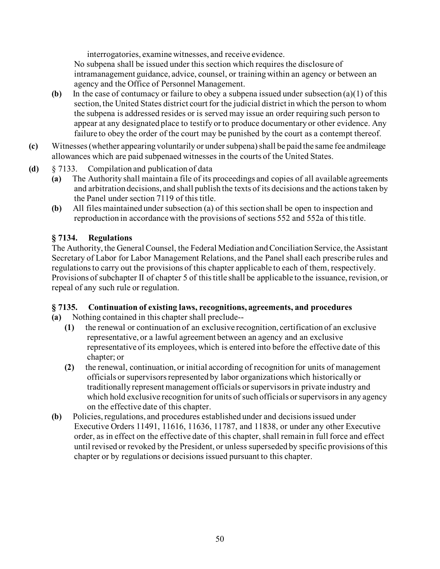interrogatories, examine witnesses, and receive evidence.

 No subpena shall be issued under this section which requires the disclosure of agency and the Office of Personnel Management. intramanagement guidance, advice, counsel, or training within an agency or between an

- section, the United States district court for the judicial district in which the person to whom appear at any designated place to testify or to produce documentary or other evidence. Any failure to obey the order of the court may be punished by the court as a contempt thereof. **(b)** In the case of contumacy or failure to obey a subpena issued under subsection (a)(1) of this the subpena is addressed resides or is served may issue an order requiring such person to
- **(c)** Witnesses (whether appearing voluntarily or under subpena) shall be paid the same fee andmileage allowances which are paid subpenaed witnesses in the courts of the United States.
- $$7133.$ **(d)** § 7133. Compilation and publication of data
	- **(a)** The Authority shall maintain a file of its proceedings and copies of all available agreements and arbitration decisions, and shall publish the texts of its decisions and the actions taken by the Panel under section 7119 of this title.
	- **(b)** All files maintained under subsection (a) of this section shall be open to inspection and reproduction in accordance with the provisions of sections 552 and 552a of this title.

#### **§ 7134. Regulations**

 The Authority, the General Counsel, the Federal Mediation and Conciliation Service, the Assistant Secretary of Labor for Labor Management Relations, and the Panel shall each prescribe rules and regulations to carry out the provisions of this chapter applicable to each of them, respectively. Provisions of subchapter II of chapter 5 of this title shall be applicable to the issuance, revision, or repeal of any such rule or regulation.

## **§ 7135. Continuation of existing laws, recognitions, agreements, and procedures**

**(a)** Nothing contained in this chapter shall preclude--

- **(1)** the renewal or continuation of an exclusive recognition, certification of an exclusive representative, or a lawful agreement between an agency and an exclusive representative of its employees, which is entered into before the effective date of this chapter; or
- which hold exclusive recognition for units of such officials or supervisors in any agency on the effective date of this chapter. **(2)** the renewal, continuation, or initial according of recognition for units of management officials or supervisors represented by labor organizations which historically or traditionally represent management officials or supervisors in private industry and
- Executive Orders 11491, 11616, 11636, 11787, and 11838, or under any other Executive order, as in effect on the effective date of this chapter, shall remain in full force and effect until revised or revoked by the President, or unless superseded by specific provisions of this chapter or by regulations or decisions issued pursuant to this chapter. **(b)** Policies, regulations, and procedures established under and decisions issued under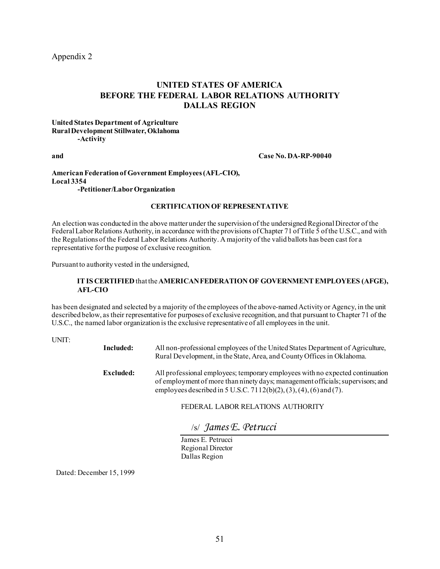<span id="page-53-0"></span>Appendix 2

## **UNITED STATES OF AMERICA DALLAS REGION BEFORE THE FEDERAL LABOR RELATIONS AUTHORITY**

#### **United States Department of Agriculture Rural Development Stillwater, Oklahoma -Activity**

**and Case No. DA-RP-90040** 

#### **American Federation of Government Employees (AFL-CIO), Local 3354 -Petitioner/Labor Organization**

#### **CERTIFICATION OF REPRESENTATIVE**

 An election was conducted in the above matter under the supervision of the undersigned Regional Director of the Federal Labor Relations Authority, in accordance with the provisions of Chapter 71 of Title 5 of the U.S.C., and with the Regulations of the Federal Labor Relations Authority. A majority of the valid ballots has been cast for a representative for the purpose of exclusive recognition.

Pursuant to authority vested in the undersigned,

#### **IT IS CERTIFIED** that the **AMERICANFEDERATION OF GOVERNMENTEMPLOYEES (AFGE), AFL-CIO**

 has been designated and selected by a majority of the employees of the above-named Activity or Agency, in the unit described below, as their representative for purposes of exclusive recognition, and that pursuant to Chapter 71 of the U.S.C., the named labor organization is the exclusive representative of all employees in the unit.

UNIT:

| Included: | All non-professional employees of the United States Department of Agriculture,<br>Rural Development, in the State, Area, and County Offices in Oklahoma.                                                                              |
|-----------|---------------------------------------------------------------------------------------------------------------------------------------------------------------------------------------------------------------------------------------|
| Excluded: | All professional employees; temporary employees with no expected continuation<br>of employment of more than ninety days; management officials; supervisors; and<br>employees described in 5 U.S.C. 7112(b)(2), (3), (4), (6) and (7). |

#### FEDERAL LABOR RELATIONS AUTHORITY

# /s/ *James E. Petrucci*

 James E. Petrucci Dallas Region Regional Director

Dated: December 15, 1999